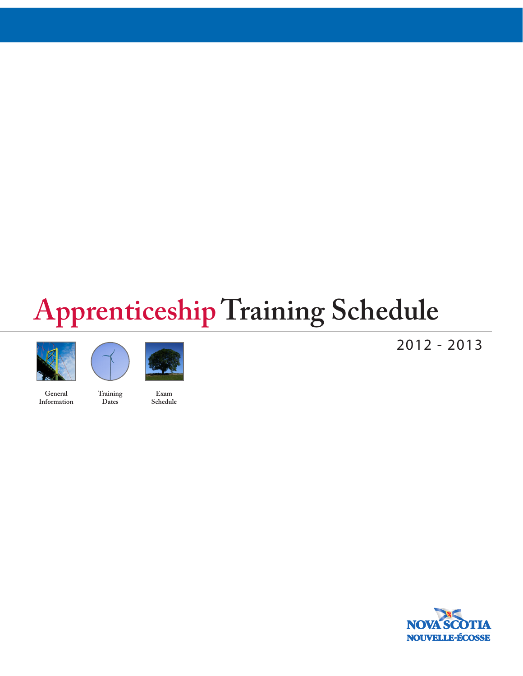# **Apprenticeship Training Schedule**





**Training Dates**

**General Information**

**Exam Schedule** 2012 - 2013

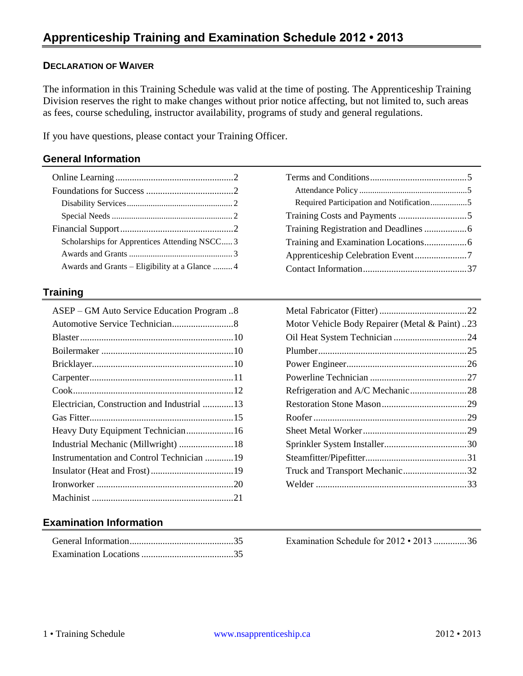#### **DECLARATION OF WAIVER**

The information in this Training Schedule was valid at the time of posting. The Apprenticeship Training Division reserves the right to make changes without prior notice affecting, but not limited to, such areas as fees, course scheduling, instructor availability, programs of study and general regulations.

If you have questions, please contact your Training Officer.

#### **General Information**

| Scholarships for Apprentices Attending NSCC3   |  |
|------------------------------------------------|--|
|                                                |  |
| Awards and Grants – Eligibility at a Glance  4 |  |

#### **Training**

| ASEP – GM Auto Service Education Program 8  |
|---------------------------------------------|
|                                             |
|                                             |
|                                             |
|                                             |
|                                             |
|                                             |
| Electrician, Construction and Industrial 13 |
|                                             |
|                                             |
| Industrial Mechanic (Millwright)  18        |
| Instrumentation and Control Technician 19   |
|                                             |
|                                             |
|                                             |

### **Examination Information**

| Motor Vehicle Body Repairer (Metal & Paint)23 |  |
|-----------------------------------------------|--|
|                                               |  |
|                                               |  |
|                                               |  |
|                                               |  |
|                                               |  |
|                                               |  |
|                                               |  |
|                                               |  |
|                                               |  |
|                                               |  |
| Truck and Transport Mechanic32                |  |
|                                               |  |

[Examination Schedule for 2012 • 2013](#page-36-0) ..............36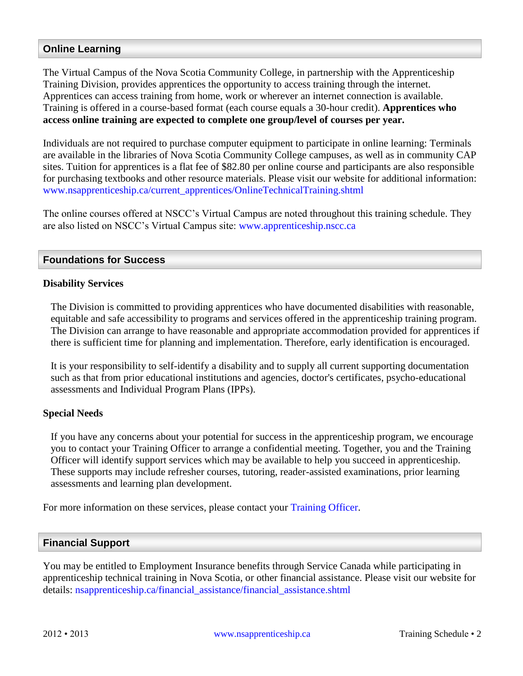### <span id="page-2-0"></span>**Online Learning**

The Virtual Campus of the Nova Scotia Community College, in partnership with the Apprenticeship Training Division, provides apprentices the opportunity to access training through the internet. Apprentices can access training from home, work or wherever an internet connection is available. Training is offered in a course-based format (each course equals a 30-hour credit). **Apprentices who access online training are expected to complete one group/level of courses per year.**

Individuals are not required to purchase computer equipment to participate in online learning: Terminals are available in the libraries of Nova Scotia Community College campuses, as well as in community CAP sites. Tuition for apprentices is a flat fee of \$82.80 per online course and participants are also responsible for purchasing textbooks and other resource materials. Please visit our website for additional information: [www.nsapprenticeship.ca/current\\_apprentices/OnlineTechnicalTraining.shtml](http://www.nsapprenticeship.ca/current_apprentices/OnlineTechnicalTraining.shtml) 

The online courses offered at NSCC's Virtual Campus are noted throughout this training schedule. They are also listed on NSCC's Virtual Campus site: [www.apprenticeship.nscc.ca](http://www.apprenticeship.nscc.ca/)

#### <span id="page-2-1"></span>**Foundations for Success**

#### <span id="page-2-2"></span>**Disability Services**

The Division is committed to providing apprentices who have documented disabilities with reasonable, equitable and safe accessibility to programs and services offered in the apprenticeship training program. The Division can arrange to have reasonable and appropriate accommodation provided for apprentices if there is sufficient time for planning and implementation. Therefore, early identification is encouraged.

It is your responsibility to self-identify a disability and to supply all current supporting documentation such as that from prior educational institutions and agencies, doctor's certificates, psycho-educational assessments and Individual Program Plans (IPPs).

#### <span id="page-2-3"></span>**Special Needs**

If you have any concerns about your potential for success in the apprenticeship program, we encourage you to contact your Training Officer to arrange a confidential meeting. Together, you and the Training Officer will identify support services which may be available to help you succeed in apprenticeship. These supports may include refresher courses, tutoring, reader-assisted examinations, prior learning assessments and learning plan development.

For more information on these services, please contact your [Training Officer.](http://nsapprenticeship.ca/contact_information/training_officers.shtml)

#### <span id="page-2-4"></span>**Financial Support**

You may be entitled to Employment Insurance benefits through Service Canada while participating in apprenticeship technical training in Nova Scotia, or other financial assistance. Please visit our website for details: [nsapprenticeship.ca/financial\\_assistance/financial\\_assistance.shtml](http://nsapprenticeship.ca/financial_assistance/financial_assistance.shtml)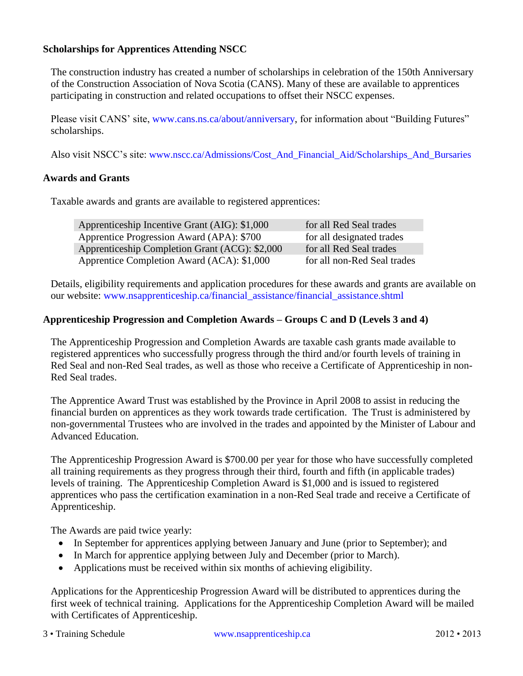### <span id="page-3-0"></span>**Scholarships for Apprentices Attending NSCC**

The construction industry has created a number of scholarships in celebration of the 150th Anniversary of the Construction Association of Nova Scotia (CANS). Many of these are available to apprentices participating in construction and related occupations to offset their NSCC expenses.

Please visit CANS' site, [www.cans.ns.ca/about/anniversary,](http://www.cans.ns.ca/about/anniversary) for information about "Building Futures" scholarships.

Also visit NSCC's site: [www.nscc.ca/Admissions/Cost\\_And\\_Financial\\_Aid/Scholarships\\_And\\_Bursaries](http://www.nscc.ca/Admissions/Cost_And_Financial_Aid/Scholarships_And_Bursaries)

#### <span id="page-3-1"></span>**Awards and Grants**

Taxable awards and grants are available to registered apprentices:

| Apprenticeship Incentive Grant (AIG): \$1,000  | for all Red Seal trades     |
|------------------------------------------------|-----------------------------|
| Apprentice Progression Award (APA): \$700      | for all designated trades   |
| Apprenticeship Completion Grant (ACG): \$2,000 | for all Red Seal trades     |
| Apprentice Completion Award (ACA): \$1,000     | for all non-Red Seal trades |

Details, eligibility requirements and application procedures for these awards and grants are available on our website: [www.nsapprenticeship.ca/financial\\_assistance/financial\\_assistance.shtml](http://www.nsapprenticeship.ca/financial_assistance/financial_assistance.shtml) 

#### **Apprenticeship Progression and Completion Awards – Groups C and D (Levels 3 and 4)**

The Apprenticeship Progression and Completion Awards are taxable cash grants made available to registered apprentices who successfully progress through the third and/or fourth levels of training in Red Seal and non-Red Seal trades, as well as those who receive a Certificate of Apprenticeship in non-Red Seal trades.

The Apprentice Award Trust was established by the Province in April 2008 to assist in reducing the financial burden on apprentices as they work towards trade certification. The Trust is administered by non-governmental Trustees who are involved in the trades and appointed by the Minister of Labour and Advanced Education.

The Apprenticeship Progression Award is \$700.00 per year for those who have successfully completed all training requirements as they progress through their third, fourth and fifth (in applicable trades) levels of training. The Apprenticeship Completion Award is \$1,000 and is issued to registered apprentices who pass the certification examination in a non-Red Seal trade and receive a Certificate of Apprenticeship.

The Awards are paid twice yearly:

- In September for apprentices applying between January and June (prior to September); and
- In March for apprentice applying between July and December (prior to March).
- Applications must be received within six months of achieving eligibility.

Applications for the Apprenticeship Progression Award will be distributed to apprentices during the first week of technical training. Applications for the Apprenticeship Completion Award will be mailed with Certificates of Apprenticeship.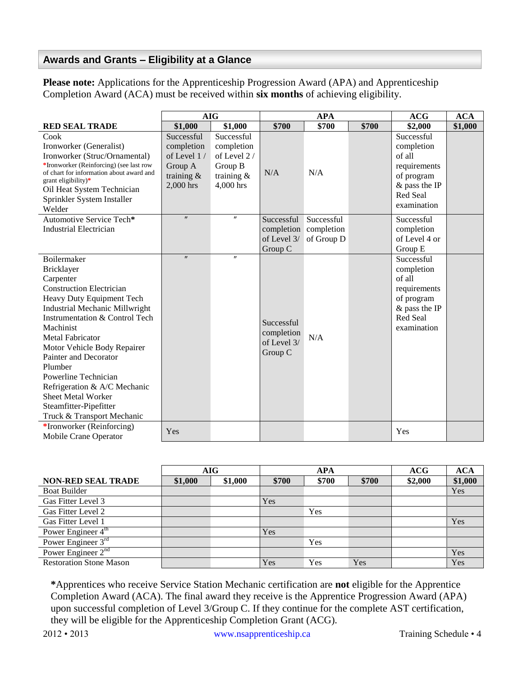### <span id="page-4-0"></span>**Awards and Grants – Eligibility at a Glance**

**Please note:** Applications for the Apprenticeship Progression Award (APA) and Apprenticeship Completion Award (ACA) must be received within **six months** of achieving eligibility.

|                                                                                                                                                                                                                                                                                                                                                                                                                                    | <b>AIG</b>                                                                       |                                                                                  | <b>APA</b>                                                    |                          | ACG   | <b>ACA</b>                                                                                                            |         |
|------------------------------------------------------------------------------------------------------------------------------------------------------------------------------------------------------------------------------------------------------------------------------------------------------------------------------------------------------------------------------------------------------------------------------------|----------------------------------------------------------------------------------|----------------------------------------------------------------------------------|---------------------------------------------------------------|--------------------------|-------|-----------------------------------------------------------------------------------------------------------------------|---------|
| <b>RED SEAL TRADE</b>                                                                                                                                                                                                                                                                                                                                                                                                              | \$1,000                                                                          | \$1,000                                                                          | \$700                                                         | \$700                    | \$700 | \$2,000                                                                                                               | \$1,000 |
| Cook<br>Ironworker (Generalist)<br>Ironworker (Struc/Ornamental)<br>*Ironworker (Reinforcing) (see last row<br>of chart for information about award and<br>grant eligibility)*<br>Oil Heat System Technician<br>Sprinkler System Installer<br>Welder                                                                                                                                                                               | Successful<br>completion<br>of Level 1/<br>Group A<br>training $\&$<br>2,000 hrs | Successful<br>completion<br>of Level 2/<br>Group B<br>training $\&$<br>4,000 hrs | N/A                                                           | N/A                      |       | Successful<br>completion<br>of all<br>requirements<br>of program<br>$&$ pass the IP<br>Red Seal<br>examination        |         |
| Automotive Service Tech*<br><b>Industrial Electrician</b>                                                                                                                                                                                                                                                                                                                                                                          | $^{\prime\prime}$                                                                | $^{\prime\prime}$                                                                | Successful<br>completion completion<br>of Level 3/<br>Group C | Successful<br>of Group D |       | Successful<br>completion<br>of Level 4 or<br>Group E                                                                  |         |
| Boilermaker<br>Bricklayer<br>Carpenter<br><b>Construction Electrician</b><br>Heavy Duty Equipment Tech<br>Industrial Mechanic Millwright<br>Instrumentation & Control Tech<br>Machinist<br><b>Metal Fabricator</b><br>Motor Vehicle Body Repairer<br>Painter and Decorator<br>Plumber<br>Powerline Technician<br>Refrigeration & A/C Mechanic<br><b>Sheet Metal Worker</b><br>Steamfitter-Pipefitter<br>Truck & Transport Mechanic | $^{\prime\prime}$                                                                | $^{\prime\prime}$                                                                | Successful<br>completion<br>of Level 3/<br>Group C            | N/A                      |       | Successful<br>completion<br>of all<br>requirements<br>of program<br>$&$ pass the IP<br><b>Red Seal</b><br>examination |         |
| *Ironworker (Reinforcing)<br>Mobile Crane Operator                                                                                                                                                                                                                                                                                                                                                                                 | Yes                                                                              |                                                                                  |                                                               |                          |       | Yes                                                                                                                   |         |

|                                | AIG     |         | APA   |       | ACG   | <b>ACA</b> |         |
|--------------------------------|---------|---------|-------|-------|-------|------------|---------|
| <b>NON-RED SEAL TRADE</b>      | \$1,000 | \$1,000 | \$700 | \$700 | \$700 | \$2,000    | \$1,000 |
| <b>Boat Builder</b>            |         |         |       |       |       |            | Yes     |
| Gas Fitter Level 3             |         |         | Yes   |       |       |            |         |
| Gas Fitter Level 2             |         |         |       | Yes   |       |            |         |
| Gas Fitter Level 1             |         |         |       |       |       |            | Yes     |
| Power Engineer 4 <sup>th</sup> |         |         | Yes   |       |       |            |         |
| Power Engineer $3rd$           |         |         |       | Yes   |       |            |         |
| Power Engineer $2nd$           |         |         |       |       |       |            | Yes     |
| <b>Restoration Stone Mason</b> |         |         | Yes   | Yes   | Yes   |            | Yes     |

**\***Apprentices who receive Service Station Mechanic certification are **not** eligible for the Apprentice Completion Award (ACA). The final award they receive is the Apprentice Progression Award (APA) upon successful completion of Level 3/Group C. If they continue for the complete AST certification, they will be eligible for the Apprenticeship Completion Grant (ACG).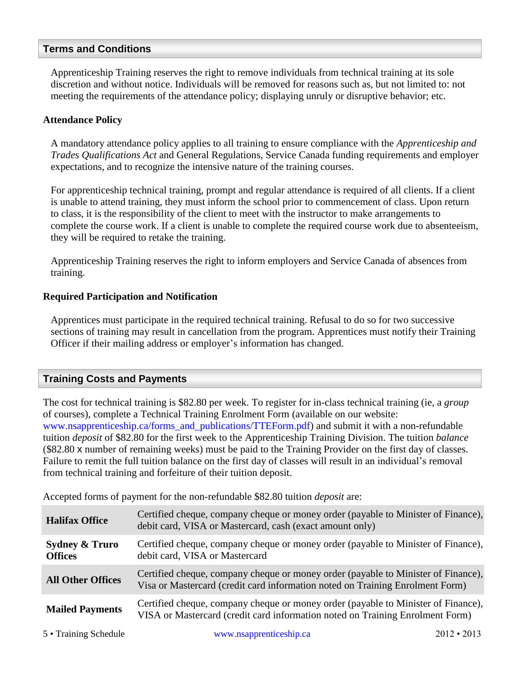#### <span id="page-5-0"></span>**Terms and Conditions**

Apprenticeship Training reserves the right to remove individuals from technical training at its sole discretion and without notice. Individuals will be removed for reasons such as, but not limited to: not meeting the requirements of the attendance policy; displaying unruly or disruptive behavior; etc.

#### <span id="page-5-1"></span>**Attendance Policy**

A mandatory attendance policy applies to all training to ensure compliance with the *Apprenticeship and Trades Qualifications Act* and General Regulations, Service Canada funding requirements and employer expectations, and to recognize the intensive nature of the training courses.

For apprenticeship technical training, prompt and regular attendance is required of all clients. If a client is unable to attend training, they must inform the school prior to commencement of class. Upon return to class, it is the responsibility of the client to meet with the instructor to make arrangements to complete the course work. If a client is unable to complete the required course work due to absenteeism, they will be required to retake the training.

Apprenticeship Training reserves the right to inform employers and Service Canada of absences from training.

#### <span id="page-5-2"></span>**Required Participation and Notification**

Apprentices must participate in the required technical training. Refusal to do so for two successive sections of training may result in cancellation from the program. Apprentices must notify their Training Officer if their mailing address or employer's information has changed.

### <span id="page-5-3"></span>**Training Costs and Payments**

The cost for technical training is \$82.80 per week. To register for in-class technical training (ie, a *group* of courses), complete a Technical Training Enrolment Form (available on our website: [www.nsapprenticeship.ca/forms\\_and\\_publications/TTEForm.pdf\)](http://www.nsapprenticeship.ca/forms_and_publications/TTEForm.pdf) and submit it with a non-refundable tuition *deposit* of \$82.80 for the first week to the Apprenticeship Training Division. The tuition *balance* (\$82.80 x number of remaining weeks) must be paid to the Training Provider on the first day of classes. Failure to remit the full tuition balance on the first day of classes will result in an individual's removal from technical training and forfeiture of their tuition deposit.

Accepted forms of payment for the non-refundable \$82.80 tuition *deposit* are:

| <b>Halifax Office</b>                       | Certified cheque, company cheque or money order (payable to Minister of Finance),<br>debit card, VISA or Mastercard, cash (exact amount only)                      |
|---------------------------------------------|--------------------------------------------------------------------------------------------------------------------------------------------------------------------|
| <b>Sydney &amp; Truro</b><br><b>Offices</b> | Certified cheque, company cheque or money order (payable to Minister of Finance),<br>debit card, VISA or Mastercard                                                |
| <b>All Other Offices</b>                    | Certified cheque, company cheque or money order (payable to Minister of Finance),<br>Visa or Mastercard (credit card information noted on Training Enrolment Form) |
| <b>Mailed Payments</b>                      | Certified cheque, company cheque or money order (payable to Minister of Finance),<br>VISA or Mastercard (credit card information noted on Training Enrolment Form) |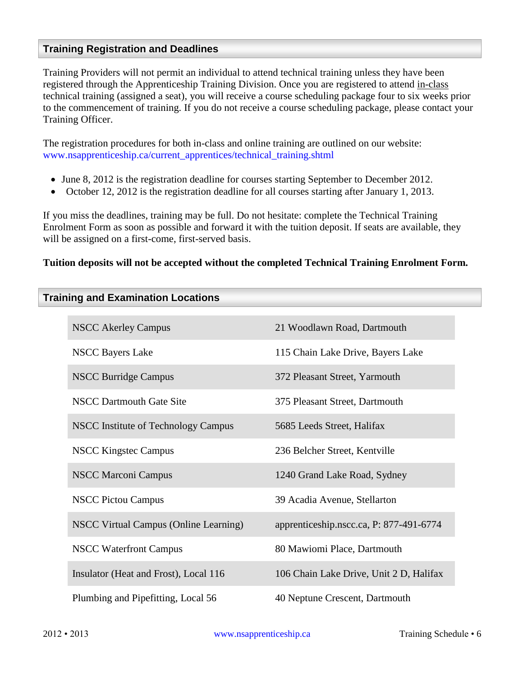### <span id="page-6-2"></span><span id="page-6-0"></span>**Training Registration and Deadlines**

Training Providers will not permit an individual to attend technical training unless they have been registered through the Apprenticeship Training Division. Once you are registered to attend in-class technical training (assigned a seat), you will receive a course scheduling package four to six weeks prior to the commencement of training. If you do not receive a course scheduling package, please contact your Training Officer.

The registration procedures for both in-class and online training are outlined on our website: [www.nsapprenticeship.ca/current\\_apprentices/technical\\_training.shtml](http://www.nsapprenticeship.ca/current_apprentices/technical_training.shtml)

- June 8, 2012 is the registration deadline for courses starting September to December 2012.
- October 12, 2012 is the registration deadline for all courses starting after January 1, 2013.

If you miss the deadlines, training may be full. Do not hesitate: complete the Technical Training Enrolment Form as soon as possible and forward it with the tuition deposit. If seats are available, they will be assigned on a first-come, first-served basis.

#### **Tuition deposits will not be accepted without the completed Technical Training Enrolment Form.**

<span id="page-6-1"></span>

| <b>Training and Examination Locations</b> |  |
|-------------------------------------------|--|
|-------------------------------------------|--|

| <b>NSCC Akerley Campus</b>            | 21 Woodlawn Road, Dartmouth             |
|---------------------------------------|-----------------------------------------|
| <b>NSCC Bayers Lake</b>               | 115 Chain Lake Drive, Bayers Lake       |
| <b>NSCC Burridge Campus</b>           | 372 Pleasant Street, Yarmouth           |
| <b>NSCC Dartmouth Gate Site</b>       | 375 Pleasant Street, Dartmouth          |
| NSCC Institute of Technology Campus   | 5685 Leeds Street, Halifax              |
| <b>NSCC Kingstec Campus</b>           | 236 Belcher Street, Kentville           |
| <b>NSCC Marconi Campus</b>            | 1240 Grand Lake Road, Sydney            |
| <b>NSCC Pictou Campus</b>             | 39 Acadia Avenue, Stellarton            |
| NSCC Virtual Campus (Online Learning) | apprenticeship.nscc.ca, P: 877-491-6774 |
| <b>NSCC Waterfront Campus</b>         | 80 Mawiomi Place, Dartmouth             |
| Insulator (Heat and Frost), Local 116 | 106 Chain Lake Drive, Unit 2 D, Halifax |
| Plumbing and Pipefitting, Local 56    | 40 Neptune Crescent, Dartmouth          |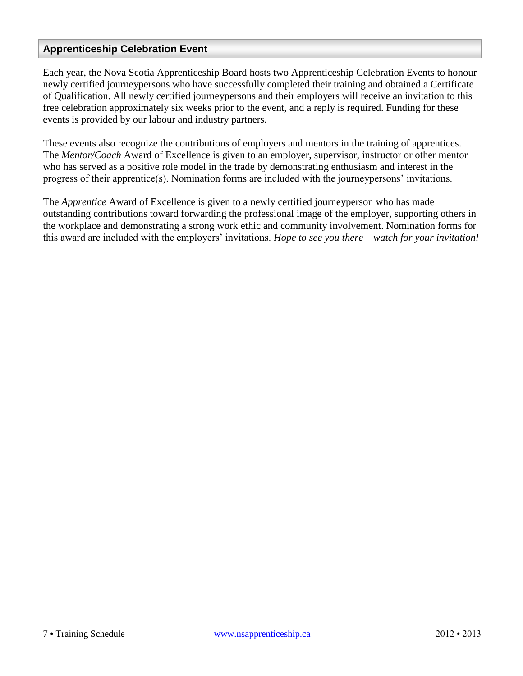### <span id="page-7-0"></span>**Apprenticeship Celebration Event**

Each year, the Nova Scotia Apprenticeship Board hosts two Apprenticeship Celebration Events to honour newly certified journeypersons who have successfully completed their training and obtained a Certificate of Qualification. All newly certified journeypersons and their employers will receive an invitation to this free celebration approximately six weeks prior to the event, and a reply is required. Funding for these events is provided by our labour and industry partners.

These events also recognize the contributions of employers and mentors in the training of apprentices. The *Mentor/Coach* Award of Excellence is given to an employer, supervisor, instructor or other mentor who has served as a positive role model in the trade by demonstrating enthusiasm and interest in the progress of their apprentice(s). Nomination forms are included with the journeypersons' invitations.

The *Apprentice* Award of Excellence is given to a newly certified journeyperson who has made outstanding contributions toward forwarding the professional image of the employer, supporting others in the workplace and demonstrating a strong work ethic and community involvement. Nomination forms for this award are included with the employers' invitations. *Hope to see you there – watch for your invitation!*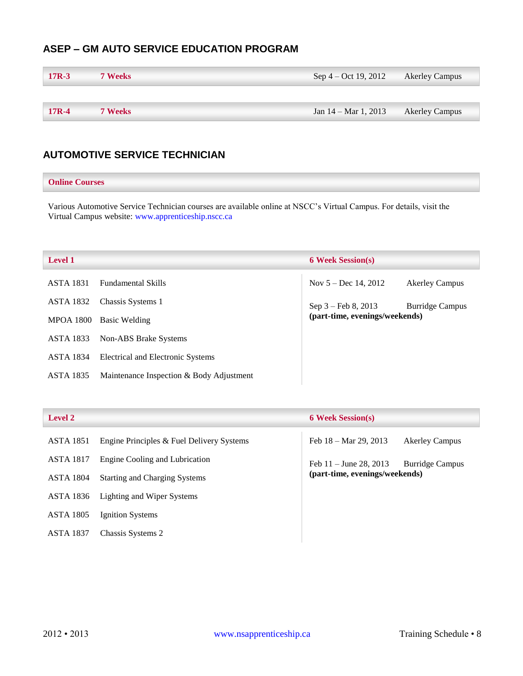### <span id="page-8-0"></span>**ASEP – GM AUTO SERVICE EDUCATION PROGRAM**

| $17R-3$ | <b>7 Weeks</b> | Sep 4 – Oct 19, 2012 | <b>Akerley Campus</b> |
|---------|----------------|----------------------|-----------------------|
|         |                |                      |                       |
| $17R-4$ | <b>7 Weeks</b> | Jan 14 – Mar 1, 2013 | <b>Akerley Campus</b> |

### <span id="page-8-1"></span>**AUTOMOTIVE SERVICE TECHNICIAN**

#### **Online Courses**

Various Automotive Service Technician courses are available online at NSCC's Virtual Campus. For details, visit the Virtual Campus website: [www.apprenticeship.nscc.ca](http://www.apprenticeship.nscc.ca/)

| <b>Level 1</b>   |                                          | <b>6 Week Session(s)</b>                                |                        |
|------------------|------------------------------------------|---------------------------------------------------------|------------------------|
| <b>ASTA 1831</b> | <b>Fundamental Skills</b>                | Nov $5 - Dec 14, 2012$                                  | <b>Akerley Campus</b>  |
| ASTA 1832        | Chassis Systems 1                        | $Sep 3 - Feb 8, 2013$<br>(part-time, evenings/weekends) | <b>Burridge Campus</b> |
| <b>MPOA 1800</b> | Basic Welding                            |                                                         |                        |
| <b>ASTA 1833</b> | Non-ABS Brake Systems                    |                                                         |                        |
| <b>ASTA 1834</b> | Electrical and Electronic Systems        |                                                         |                        |
| <b>ASTA 1835</b> | Maintenance Inspection & Body Adjustment |                                                         |                        |

| <b>Level 2</b>   |                                           | <b>6 Week Session(s)</b>                                 |
|------------------|-------------------------------------------|----------------------------------------------------------|
| <b>ASTA 1851</b> | Engine Principles & Fuel Delivery Systems | Feb $18 - \text{Mar } 29, 2013$<br><b>Akerley Campus</b> |
| <b>ASTA 1817</b> | Engine Cooling and Lubrication            | Feb $11 -$ June 28, 2013<br><b>Burridge Campus</b>       |
| <b>ASTA 1804</b> | <b>Starting and Charging Systems</b>      | (part-time, evenings/weekends)                           |
| ASTA 1836        | Lighting and Wiper Systems                |                                                          |
| <b>ASTA 1805</b> | Ignition Systems                          |                                                          |
| <b>ASTA 1837</b> | Chassis Systems 2                         |                                                          |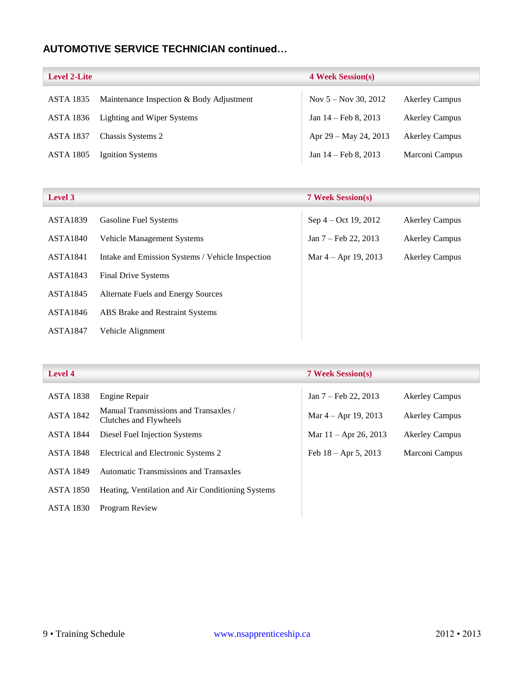### **AUTOMOTIVE SERVICE TECHNICIAN continued…**

| <b>Level 2-Lite</b> |                                          | <b>4 Week Session(s)</b> |                       |
|---------------------|------------------------------------------|--------------------------|-----------------------|
| <b>ASTA 1835</b>    | Maintenance Inspection & Body Adjustment | Nov $5 -$ Nov 30, 2012   | <b>Akerley Campus</b> |
| ASTA 1836           | Lighting and Wiper Systems               | Jan $14$ – Feb 8, 2013   | <b>Akerley Campus</b> |
| <b>ASTA 1837</b>    | Chassis Systems 2                        | Apr $29 -$ May 24, 2013  | <b>Akerley Campus</b> |
| <b>ASTA 1805</b>    | Ignition Systems                         | Jan $14$ – Feb 8, 2013   | Marconi Campus        |

| Level 3         |                                                  | <b>7 Week Session(s)</b>       |                       |
|-----------------|--------------------------------------------------|--------------------------------|-----------------------|
| <b>ASTA1839</b> | <b>Gasoline Fuel Systems</b>                     | Sep 4 – Oct 19, 2012           | <b>Akerley Campus</b> |
| <b>ASTA1840</b> | <b>Vehicle Management Systems</b>                | Jan $7 - \text{Feb } 22, 2013$ | <b>Akerley Campus</b> |
| <b>ASTA1841</b> | Intake and Emission Systems / Vehicle Inspection | Mar $4 -$ Apr 19, 2013         | <b>Akerley Campus</b> |
| <b>ASTA1843</b> | <b>Final Drive Systems</b>                       |                                |                       |
| <b>ASTA1845</b> | <b>Alternate Fuels and Energy Sources</b>        |                                |                       |
| ASTA1846        | ABS Brake and Restraint Systems                  |                                |                       |
| <b>ASTA1847</b> | Vehicle Alignment                                |                                |                       |

| <b>Level 4</b>   |                                                                 | <b>7 Week Session(s)</b> |                       |
|------------------|-----------------------------------------------------------------|--------------------------|-----------------------|
| <b>ASTA 1838</b> | Engine Repair                                                   | Jan 7 – Feb 22, 2013     | <b>Akerley Campus</b> |
| <b>ASTA 1842</b> | Manual Transmissions and Transaxles /<br>Clutches and Flywheels | Mar $4 -$ Apr 19, 2013   | <b>Akerley Campus</b> |
| <b>ASTA 1844</b> | Diesel Fuel Injection Systems                                   | Mar $11 -$ Apr 26, 2013  | <b>Akerley Campus</b> |
| <b>ASTA 1848</b> | Electrical and Electronic Systems 2                             | Feb $18 -$ Apr 5, 2013   | Marconi Campus        |
| <b>ASTA 1849</b> | Automatic Transmissions and Transaxles                          |                          |                       |
| <b>ASTA 1850</b> | Heating, Ventilation and Air Conditioning Systems               |                          |                       |
| <b>ASTA 1830</b> | <b>Program Review</b>                                           |                          |                       |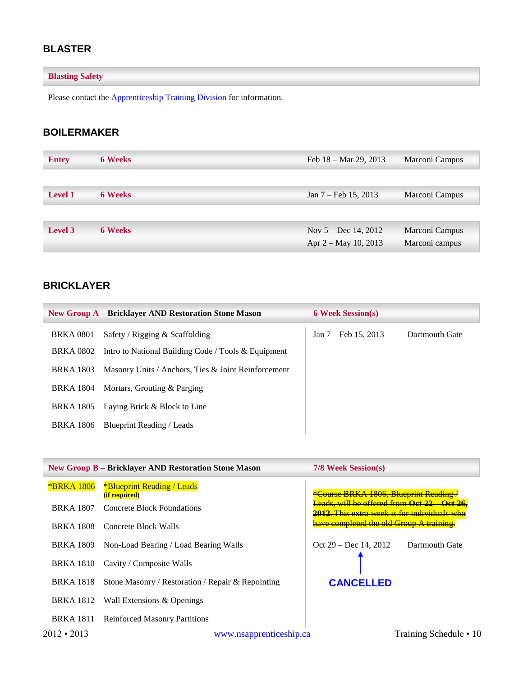### <span id="page-10-0"></span>**BLASTER**

### **Blasting Safety**

Please contact the [Apprenticeship Training Division](#page-37-1) for information.

### <span id="page-10-1"></span>**BOILERMAKER**

| <b>Entry</b>   | <b>6 Weeks</b> | Feb $18 - \text{Mar } 29$ , 2013 | Marconi Campus |
|----------------|----------------|----------------------------------|----------------|
|                |                |                                  |                |
| <b>Level 1</b> | <b>6 Weeks</b> | Jan $7 - \text{Feb } 15, 2013$   | Marconi Campus |
|                |                |                                  |                |
| Level 3        | <b>6 Weeks</b> | Nov $5 - Dec$ 14, 2012           | Marconi Campus |
|                |                | Apr 2 – May 10, 2013             | Marconi campus |

### <span id="page-10-2"></span>**BRICKLAYER**

<span id="page-10-3"></span>

|                  | <b>New Group A – Bricklayer AND Restoration Stone Mason</b> | <b>6 Week Session(s)</b> |                |
|------------------|-------------------------------------------------------------|--------------------------|----------------|
| <b>BRKA 0801</b> | Safety / Rigging $&$ Scaffolding                            | Jan 7 – Feb 15, 2013     | Dartmouth Gate |
| <b>BRKA 0802</b> | Intro to National Building Code / Tools $\&$ Equipment      |                          |                |
| BRKA 1803        | Masonry Units / Anchors, Ties & Joint Reinforcement         |                          |                |
| BRKA 1804        | Mortars, Grouting & Parging                                 |                          |                |
| BRKA 1805        | Laying Brick & Block to Line                                |                          |                |
| BRKA 1806        | Blueprint Reading / Leads                                   |                          |                |

|                   | <b>New Group B - Bricklayer AND Restoration Stone Mason</b> | 7/8 Week Session(s)                                                                        |
|-------------------|-------------------------------------------------------------|--------------------------------------------------------------------------------------------|
| <b>*BRKA 1806</b> | *Blueprint Reading / Leads<br>(if required)                 | <b>*Course BRKA 1806, Blueprint Reading/</b>                                               |
| <b>BRKA 1807</b>  | Concrete Block Foundations                                  | Leads, will be offered from Oct 22 Oct 26,<br>2012. This extra week is for individuals who |
| <b>BRKA 1808</b>  | Concrete Block Walls                                        | have completed the old Group A training.                                                   |
| <b>BRKA</b> 1809  | Non-Load Bearing / Load Bearing Walls                       | Oct 29 Dec 14, 2012<br>Dartmouth Gate                                                      |
| <b>BRKA</b> 1810  | Cavity / Composite Walls                                    |                                                                                            |
| <b>BRKA</b> 1818  | Stone Masonry / Restoration / Repair & Repointing           | <b>CANCELLED</b>                                                                           |
|                   | BRKA 1812 Wall Extensions & Openings                        |                                                                                            |
| <b>BRKA</b> 1811  | <b>Reinforced Masonry Partitions</b>                        |                                                                                            |
| $2012 \cdot 2013$ | www.nsapprenticeship.ca                                     | Training Schedule • 10                                                                     |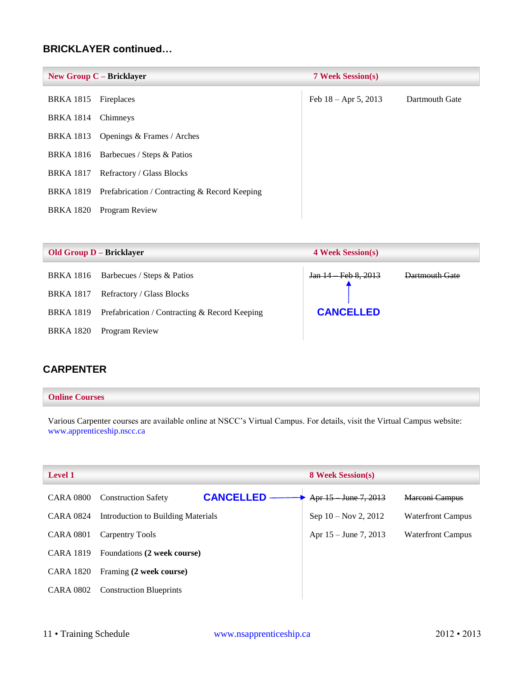### **BRICKLAYER continued…**

|                  | New Group $C -$ Bricklayer                    | <b>7 Week Session(s)</b> |                |
|------------------|-----------------------------------------------|--------------------------|----------------|
| <b>BRKA</b> 1815 | Fireplaces                                    | Feb $18 -$ Apr 5, 2013   | Dartmouth Gate |
| <b>BRKA</b> 1814 | Chimneys                                      |                          |                |
| <b>BRKA</b> 1813 | Openings & Frames / Arches                    |                          |                |
|                  | BRKA 1816 Barbecues / Steps & Patios          |                          |                |
| BRKA 1817        | Refractory / Glass Blocks                     |                          |                |
| <b>BRKA 1819</b> | Prefabrication / Contracting & Record Keeping |                          |                |
| <b>BRKA 1820</b> | Program Review                                |                          |                |

|                  | <b>Old Group D – Bricklayer</b>               | <b>4 Week Session(s)</b> |                |
|------------------|-----------------------------------------------|--------------------------|----------------|
| BRKA 1816        | Barbecues / Steps & Patios                    | Jan 14 Feb 8, 2013       | Dartmouth Gate |
| <b>BRKA 1817</b> | Refractory / Glass Blocks                     |                          |                |
| BRKA 1819        | Prefabrication / Contracting & Record Keeping | <b>CANCELLED</b>         |                |
| <b>BRKA 1820</b> | Program Review                                |                          |                |

### <span id="page-11-0"></span>**CARPENTER**

#### **Online Courses**

Various Carpenter courses are available online at NSCC's Virtual Campus. For details, visit the Virtual Campus website: [www.apprenticeship.nscc.ca](http://www.apprenticeship.nscc.ca/)

| <b>Level 1</b>   |                                                | <b>8 Week Session(s)</b> |                          |
|------------------|------------------------------------------------|--------------------------|--------------------------|
| <b>CARA 0800</b> | <b>CANCELLED</b><br><b>Construction Safety</b> | Apr 15 June 7, 2013      | Marconi Campus           |
| CARA 0824        | Introduction to Building Materials             | Sep $10 - Nov 2, 2012$   | <b>Waterfront Campus</b> |
| <b>CARA 0801</b> | Carpentry Tools                                | Apr $15 -$ June 7, 2013  | <b>Waterfront Campus</b> |
| <b>CARA 1819</b> | Foundations (2 week course)                    |                          |                          |
| CARA 1820        | Framing (2 week course)                        |                          |                          |
| <b>CARA 0802</b> | <b>Construction Blueprints</b>                 |                          |                          |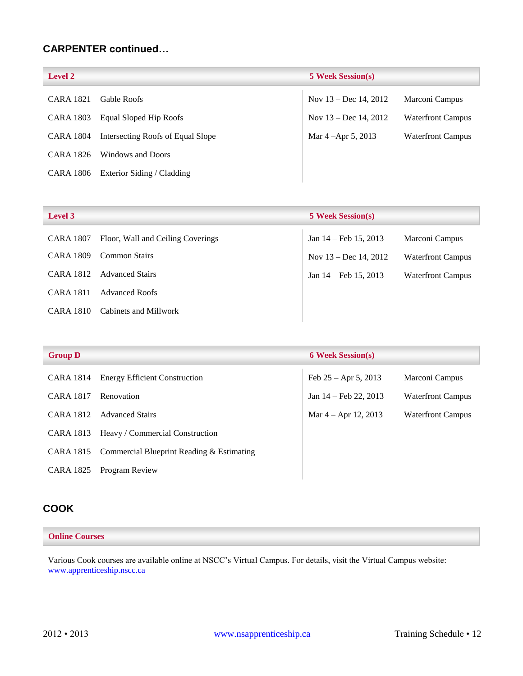### **CARPENTER continued…**

| <b>Level 2</b>   |                                   | <b>5 Week Session(s)</b> |                          |
|------------------|-----------------------------------|--------------------------|--------------------------|
| <b>CARA 1821</b> | Gable Roofs                       | Nov $13 - Dec 14, 2012$  | Marconi Campus           |
| <b>CARA 1803</b> | Equal Sloped Hip Roofs            | Nov $13 - Dec 14, 2012$  | <b>Waterfront Campus</b> |
| CARA 1804        | Intersecting Roofs of Equal Slope | Mar 4 – Apr 5, 2013      | <b>Waterfront Campus</b> |
| CARA 1826        | Windows and Doors                 |                          |                          |
| CARA 1806        | Exterior Siding / Cladding        |                          |                          |

| <b>Level 3</b>   |                                   | <b>5 Week Session(s)</b> |                          |
|------------------|-----------------------------------|--------------------------|--------------------------|
| <b>CARA 1807</b> | Floor, Wall and Ceiling Coverings | Jan $14$ – Feb 15, 2013  | Marconi Campus           |
| <b>CARA 1809</b> | Common Stairs                     | Nov $13 - Dec 14, 2012$  | <b>Waterfront Campus</b> |
| CARA 1812        | <b>Advanced Stairs</b>            | Jan $14$ – Feb 15, 2013  | <b>Waterfront Campus</b> |
| <b>CARA 1811</b> | <b>Advanced Roofs</b>             |                          |                          |
| CARA 1810        | Cabinets and Millwork             |                          |                          |

| <b>Group D</b>   |                                           | <b>6 Week Session(s)</b> |                          |
|------------------|-------------------------------------------|--------------------------|--------------------------|
| CARA 1814        | <b>Energy Efficient Construction</b>      | Feb $25 -$ Apr 5, 2013   | Marconi Campus           |
| <b>CARA 1817</b> | Renovation                                | Jan $14$ – Feb 22, 2013  | <b>Waterfront Campus</b> |
| <b>CARA 1812</b> | <b>Advanced Stairs</b>                    | Mar $4 -$ Apr 12, 2013   | <b>Waterfront Campus</b> |
| CARA 1813        | Heavy / Commercial Construction           |                          |                          |
| CARA 1815        | Commercial Blueprint Reading & Estimating |                          |                          |
| <b>CARA 1825</b> | Program Review                            |                          |                          |

### <span id="page-12-0"></span>**COOK**

#### **Online Courses**

Various Cook courses are available online at NSCC's Virtual Campus. For details, visit the Virtual Campus website: [www.apprenticeship.nscc.ca](http://www.apprenticeship.nscc.ca/)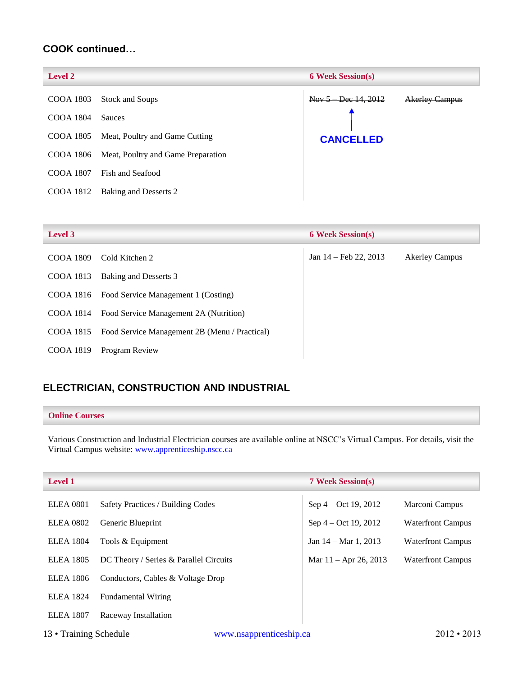### **COOK continued…**

| <b>Level 2</b> |                                    | <b>6 Week Session(s)</b> |                       |
|----------------|------------------------------------|--------------------------|-----------------------|
| COOA 1803      | <b>Stock and Soups</b>             | Nov $5$ Dec $14, 2012$   | <b>Akerley Campus</b> |
| COOA 1804      | <b>Sauces</b>                      |                          |                       |
| COOA 1805      | Meat, Poultry and Game Cutting     | <b>CANCELLED</b>         |                       |
| COOA 1806      | Meat, Poultry and Game Preparation |                          |                       |
| COOA 1807      | Fish and Seafood                   |                          |                       |
| COOA 1812      | Baking and Desserts 2              |                          |                       |
|                |                                    |                          |                       |

| <b>Level 3</b> |                                               | <b>6 Week Session(s)</b> |                       |
|----------------|-----------------------------------------------|--------------------------|-----------------------|
| COOA 1809      | Cold Kitchen 2                                | Jan $14$ – Feb 22, 2013  | <b>Akerley Campus</b> |
| COOA 1813      | Baking and Desserts 3                         |                          |                       |
|                | COOA 1816 Food Service Management 1 (Costing) |                          |                       |
| COOA 1814      | Food Service Management 2A (Nutrition)        |                          |                       |
| COOA 1815      | Food Service Management 2B (Menu / Practical) |                          |                       |
| COOA 1819      | Program Review                                |                          |                       |

### <span id="page-13-0"></span>**ELECTRICIAN, CONSTRUCTION AND INDUSTRIAL**

#### **Online Courses**

Various Construction and Industrial Electrician courses are available online at NSCC's Virtual Campus. For details, visit the Virtual Campus website: [www.apprenticeship.nscc.ca](http://www.apprenticeship.nscc.ca/)

| <b>Level 1</b>         |                                        |                         | <b>7 Week Session(s)</b>       |                          |
|------------------------|----------------------------------------|-------------------------|--------------------------------|--------------------------|
| <b>ELEA 0801</b>       | Safety Practices / Building Codes      |                         | Sep $4 - Oct$ 19, 2012         | Marconi Campus           |
| <b>ELEA 0802</b>       | Generic Blueprint                      |                         | Sep $4 - Oct$ 19, 2012         | <b>Waterfront Campus</b> |
| <b>ELEA 1804</b>       | Tools & Equipment                      |                         | Jan $14 - \text{Mar } 1, 2013$ | <b>Waterfront Campus</b> |
| <b>ELEA</b> 1805       | DC Theory / Series & Parallel Circuits |                         | Mar $11 -$ Apr 26, 2013        | <b>Waterfront Campus</b> |
| <b>ELEA</b> 1806       | Conductors, Cables & Voltage Drop      |                         |                                |                          |
| <b>ELEA</b> 1824       | <b>Fundamental Wiring</b>              |                         |                                |                          |
| <b>ELEA</b> 1807       | Raceway Installation                   |                         |                                |                          |
| 13 • Training Schedule |                                        | www.nsapprenticeship.ca |                                | $2012 \cdot 2013$        |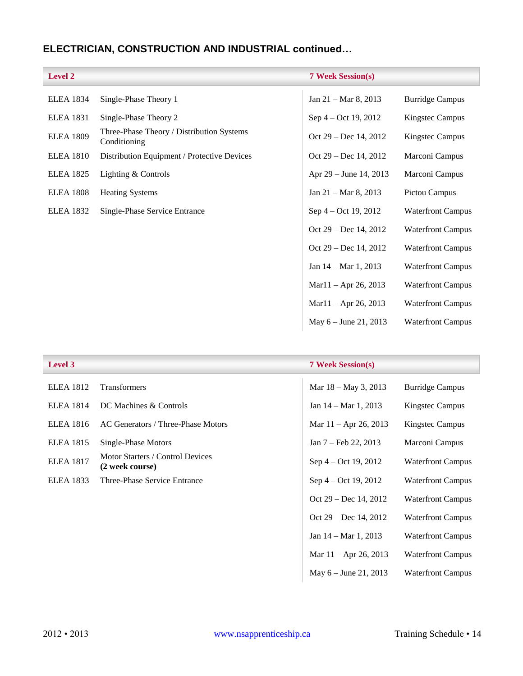# **ELECTRICIAN, CONSTRUCTION AND INDUSTRIAL continued…**

| <b>Level 2</b>   |                                                           | <b>7 Week Session(s)</b> |                          |
|------------------|-----------------------------------------------------------|--------------------------|--------------------------|
| <b>ELEA 1834</b> | Single-Phase Theory 1                                     | Jan 21 - Mar 8, 2013     | <b>Burridge Campus</b>   |
| <b>ELEA</b> 1831 | Single-Phase Theory 2                                     | Sep 4 – Oct 19, 2012     | Kingstec Campus          |
| <b>ELEA 1809</b> | Three-Phase Theory / Distribution Systems<br>Conditioning | Oct $29 - Dec 14, 2012$  | Kingstec Campus          |
| <b>ELEA 1810</b> | Distribution Equipment / Protective Devices               | Oct 29 – Dec 14, 2012    | Marconi Campus           |
| <b>ELEA 1825</b> | Lighting & Controls                                       | Apr 29 – June 14, 2013   | Marconi Campus           |
| <b>ELEA 1808</b> | <b>Heating Systems</b>                                    | Jan 21 - Mar 8, 2013     | Pictou Campus            |
| <b>ELEA 1832</b> | Single-Phase Service Entrance                             | Sep 4 – Oct 19, 2012     | <b>Waterfront Campus</b> |
|                  |                                                           | Oct 29 – Dec 14, 2012    | <b>Waterfront Campus</b> |
|                  |                                                           | Oct 29 – Dec 14, 2012    | <b>Waterfront Campus</b> |
|                  |                                                           | Jan 14 – Mar 1, 2013     | <b>Waterfront Campus</b> |
|                  |                                                           | $Mar11 - Apr 26, 2013$   | <b>Waterfront Campus</b> |
|                  |                                                           | $Mar11 - Apr 26, 2013$   | <b>Waterfront Campus</b> |
|                  |                                                           | May $6 -$ June 21, 2013  | <b>Waterfront Campus</b> |

| Level 3          |                                                     | <b>7 Week Session(s)</b>       |                          |
|------------------|-----------------------------------------------------|--------------------------------|--------------------------|
| <b>ELEA</b> 1812 | <b>Transformers</b>                                 | Mar 18 – May 3, 2013           | <b>Burridge Campus</b>   |
| <b>ELEA 1814</b> | DC Machines & Controls                              | Jan $14 - \text{Mar } 1, 2013$ | Kingstec Campus          |
| <b>ELEA</b> 1816 | AC Generators / Three-Phase Motors                  | Mar $11 -$ Apr 26, 2013        | Kingstec Campus          |
| <b>ELEA</b> 1815 | Single-Phase Motors                                 | Jan 7 – Feb 22, 2013           | Marconi Campus           |
| <b>ELEA 1817</b> | Motor Starters / Control Devices<br>(2 week course) | Sep $4 - Oct$ 19, 2012         | <b>Waterfront Campus</b> |
| <b>ELEA</b> 1833 | Three-Phase Service Entrance                        | Sep 4 – Oct 19, 2012           | <b>Waterfront Campus</b> |
|                  |                                                     | Oct $29 - Dec 14, 2012$        | <b>Waterfront Campus</b> |
|                  |                                                     | Oct $29 - Dec 14, 2012$        | <b>Waterfront Campus</b> |
|                  |                                                     | Jan $14 - \text{Mar } 1, 2013$ | <b>Waterfront Campus</b> |
|                  |                                                     | Mar $11 -$ Apr 26, 2013        | <b>Waterfront Campus</b> |
|                  |                                                     | May $6 -$ June 21, 2013        | <b>Waterfront Campus</b> |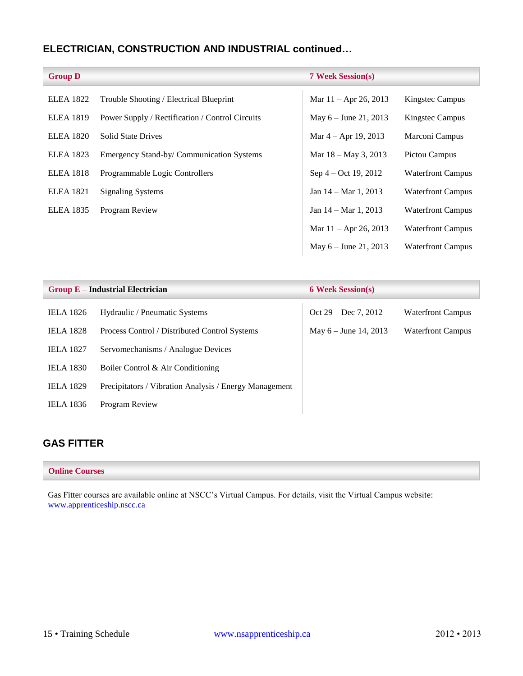### **ELECTRICIAN, CONSTRUCTION AND INDUSTRIAL continued…**

| <b>Group D</b>   |                                                 | <b>7 Week Session(s)</b>       |                          |
|------------------|-------------------------------------------------|--------------------------------|--------------------------|
| <b>ELEA 1822</b> | Trouble Shooting / Electrical Blueprint         | Mar $11 -$ Apr 26, 2013        | <b>Kingstec Campus</b>   |
| <b>ELEA 1819</b> | Power Supply / Rectification / Control Circuits | May $6 -$ June 21, 2013        | Kingstec Campus          |
| <b>ELEA 1820</b> | <b>Solid State Drives</b>                       | Mar $4 -$ Apr 19, 2013         | Marconi Campus           |
| <b>ELEA</b> 1823 | Emergency Stand-by/ Communication Systems       | Mar $18 -$ May 3, 2013         | Pictou Campus            |
| <b>ELEA 1818</b> | Programmable Logic Controllers                  | Sep 4 – Oct 19, 2012           | <b>Waterfront Campus</b> |
| <b>ELEA 1821</b> | <b>Signaling Systems</b>                        | Jan $14 - \text{Mar } 1, 2013$ | <b>Waterfront Campus</b> |
| <b>ELEA</b> 1835 | Program Review                                  | Jan $14 - \text{Mar } 1, 2013$ | <b>Waterfront Campus</b> |
|                  |                                                 | Mar $11 -$ Apr 26, 2013        | <b>Waterfront Campus</b> |
|                  |                                                 | May $6 -$ June 21, 2013        | <b>Waterfront Campus</b> |

| $Group E-Industrial Electrician$ |                                                        | <b>6 Week Session(s)</b> |                          |
|----------------------------------|--------------------------------------------------------|--------------------------|--------------------------|
| <b>IELA</b> 1826                 | Hydraulic / Pneumatic Systems                          | Oct $29 - Dec 7, 2012$   | <b>Waterfront Campus</b> |
| <b>IELA</b> 1828                 | Process Control / Distributed Control Systems          | May $6 -$ June 14, 2013  | <b>Waterfront Campus</b> |
| <b>IELA 1827</b>                 | Servomechanisms / Analogue Devices                     |                          |                          |
| <b>IELA 1830</b>                 | Boiler Control & Air Conditioning                      |                          |                          |
| <b>IELA</b> 1829                 | Precipitators / Vibration Analysis / Energy Management |                          |                          |
| <b>IELA</b> 1836                 | Program Review                                         |                          |                          |

### <span id="page-15-0"></span>**GAS FITTER**

#### **Online Courses**

Gas Fitter courses are available online at NSCC's Virtual Campus. For details, visit the Virtual Campus website: [www.apprenticeship.nscc.ca](http://www.apprenticeship.nscc.ca/)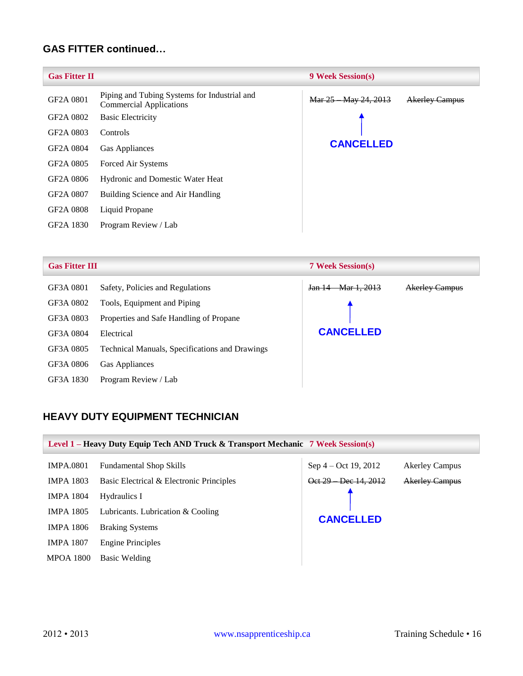### **GAS FITTER continued…**

| <b>Gas Fitter II</b>   |                                                                                | <b>9 Week Session(s)</b> |                       |
|------------------------|--------------------------------------------------------------------------------|--------------------------|-----------------------|
| GF2A 0801              | Piping and Tubing Systems for Industrial and<br><b>Commercial Applications</b> | Mar 25 May 24, 2013      | <b>Akerley Campus</b> |
| GF2A 0802              | <b>Basic Electricity</b>                                                       |                          |                       |
| GF <sub>2</sub> A 0803 | Controls                                                                       |                          |                       |
| GF2A 0804              | Gas Appliances                                                                 | <b>CANCELLED</b>         |                       |
| GF <sub>2</sub> A 0805 | Forced Air Systems                                                             |                          |                       |
| GF2A 0806              | Hydronic and Domestic Water Heat                                               |                          |                       |
| GF2A 0807              | Building Science and Air Handling                                              |                          |                       |
| GF2A 0808              | Liquid Propane                                                                 |                          |                       |
| GF2A 1830              | Program Review / Lab                                                           |                          |                       |

| <b>Gas Fitter III</b> |                                                       | <b>7 Week Session(s)</b> |                       |
|-----------------------|-------------------------------------------------------|--------------------------|-----------------------|
| GF3A 0801             | Safety, Policies and Regulations                      | Jan 14 Mar 1, 2013       | <b>Akerley Campus</b> |
| GF3A 0802             | Tools, Equipment and Piping                           |                          |                       |
| GF3A 0803             | Properties and Safe Handling of Propane               |                          |                       |
| GF3A 0804             | Electrical                                            | <b>CANCELLED</b>         |                       |
| GF3A 0805             | <b>Technical Manuals, Specifications and Drawings</b> |                          |                       |
| GF3A 0806             | Gas Appliances                                        |                          |                       |
| GF3A 1830             | Program Review / Lab                                  |                          |                       |

### <span id="page-16-0"></span>**HEAVY DUTY EQUIPMENT TECHNICIAN**

<span id="page-16-1"></span>

| Level 1 – Heavy Duty Equip Tech AND Truck & Transport Mechanic 7 Week Session(s) |                                          |                      |                       |  |
|----------------------------------------------------------------------------------|------------------------------------------|----------------------|-----------------------|--|
| <b>IMPA.0801</b>                                                                 | <b>Fundamental Shop Skills</b>           | Sep 4 – Oct 19, 2012 | <b>Akerley Campus</b> |  |
| <b>IMPA 1803</b>                                                                 | Basic Electrical & Electronic Principles | Oct 29 Dec 14, 2012  | <b>Akerley Campus</b> |  |
| <b>IMPA 1804</b>                                                                 | Hydraulics I                             |                      |                       |  |
| <b>IMPA 1805</b>                                                                 | Lubricants. Lubrication & Cooling        |                      |                       |  |
| <b>IMPA 1806</b>                                                                 | <b>Braking Systems</b>                   | <b>CANCELLED</b>     |                       |  |
| <b>IMPA 1807</b>                                                                 | <b>Engine Principles</b>                 |                      |                       |  |
| <b>MPOA 1800</b>                                                                 | Basic Welding                            |                      |                       |  |
|                                                                                  |                                          |                      |                       |  |

×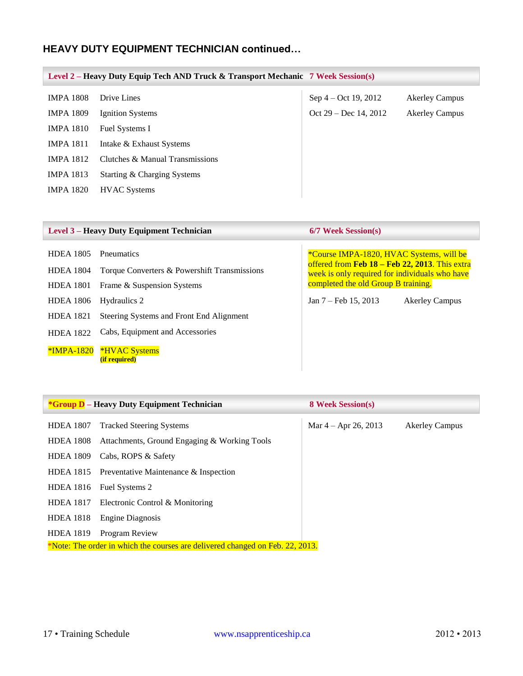### **HEAVY DUTY EQUIPMENT TECHNICIAN continued…**

<span id="page-17-0"></span>

| Level 2 – Heavy Duty Equip Tech AND Truck & Transport Mechanic 7 Week Session(s) |                                 |                         |                       |
|----------------------------------------------------------------------------------|---------------------------------|-------------------------|-----------------------|
| <b>IMPA 1808</b>                                                                 | Drive Lines                     | Sep $4 - Oct$ 19, 2012  | <b>Akerley Campus</b> |
| <b>IMPA 1809</b>                                                                 | Ignition Systems                | Oct $29 - Dec 14, 2012$ | <b>Akerley Campus</b> |
| <b>IMPA 1810</b>                                                                 | Fuel Systems I                  |                         |                       |
| <b>IMPA 1811</b>                                                                 | Intake & Exhaust Systems        |                         |                       |
| <b>IMPA 1812</b>                                                                 | Clutches & Manual Transmissions |                         |                       |
| <b>IMPA 1813</b>                                                                 | Starting & Charging Systems     |                         |                       |
| <b>IMPA 1820</b>                                                                 | <b>HVAC</b> Systems             |                         |                       |
|                                                                                  |                                 |                         |                       |

|                                                                                                                                      | Level 3 – Heavy Duty Equipment Technician                                                                                                                                                                       | 6/7 Week Session(s)                                                                                                                                                                                                                            |
|--------------------------------------------------------------------------------------------------------------------------------------|-----------------------------------------------------------------------------------------------------------------------------------------------------------------------------------------------------------------|------------------------------------------------------------------------------------------------------------------------------------------------------------------------------------------------------------------------------------------------|
| <b>HDEA 1805</b><br><b>HDEA 1804</b><br><b>HDEA 1801</b><br><b>HDEA 1806</b><br><b>HDEA 1821</b><br><b>HDEA 1822</b><br>$*IMPA-1820$ | Pneumatics<br>Torque Converters & Powershift Transmissions<br>Frame & Suspension Systems<br>Hydraulics 2<br>Steering Systems and Front End Alignment<br>Cabs, Equipment and Accessories<br><b>*HVAC Systems</b> | *Course IMPA-1820, HVAC Systems, will be<br>offered from Feb 18 – Feb 22, 2013. This extra<br>week is only required for individuals who have<br>completed the old Group B training.<br>Jan $7 - \text{Feb } 15, 2013$<br><b>Akerley Campus</b> |
|                                                                                                                                      | <i>(if required)</i>                                                                                                                                                                                            |                                                                                                                                                                                                                                                |

|                  | <i><b>*Group D</b></i> – Heavy Duty Equipment Technician                      | <b>8 Week Session(s)</b> |                       |
|------------------|-------------------------------------------------------------------------------|--------------------------|-----------------------|
| <b>HDEA 1807</b> | <b>Tracked Steering Systems</b>                                               | Mar $4 -$ Apr 26, 2013   | <b>Akerley Campus</b> |
| <b>HDEA 1808</b> | Attachments, Ground Engaging & Working Tools                                  |                          |                       |
| <b>HDEA 1809</b> | Cabs, ROPS & Safety                                                           |                          |                       |
|                  | HDEA 1815 Preventative Maintenance $\&$ Inspection                            |                          |                       |
| <b>HDEA</b> 1816 | Fuel Systems 2                                                                |                          |                       |
| <b>HDEA</b> 1817 | Electronic Control & Monitoring                                               |                          |                       |
| <b>HDEA 1818</b> | Engine Diagnosis                                                              |                          |                       |
| <b>HDEA 1819</b> | Program Review                                                                |                          |                       |
|                  | *Note: The order in which the courses are delivered changed on Feb. 22, 2013. |                          |                       |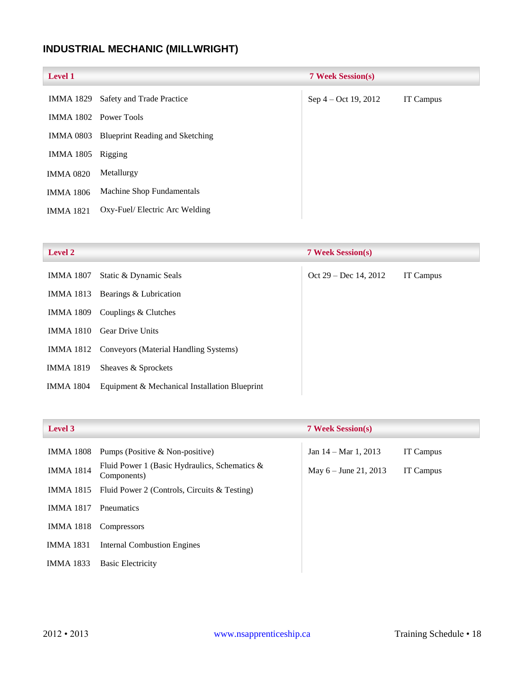# <span id="page-18-0"></span>**INDUSTRIAL MECHANIC (MILLWRIGHT)**

| <b>Level 1</b>   |                                        | <b>7 Week Session(s)</b> |                  |
|------------------|----------------------------------------|--------------------------|------------------|
| <b>IMMA 1829</b> | Safety and Trade Practice              | Sep 4 – Oct 19, 2012     | <b>IT Campus</b> |
|                  | IMMA 1802 Power Tools                  |                          |                  |
| <b>IMMA 0803</b> | <b>Blueprint Reading and Sketching</b> |                          |                  |
| IMMA 1805        | Rigging                                |                          |                  |
| <b>IMMA 0820</b> | Metallurgy                             |                          |                  |
| <b>IMMA 1806</b> | Machine Shop Fundamentals              |                          |                  |
| <b>IMMA 1821</b> | Oxy-Fuel/Electric Arc Welding          |                          |                  |

| <b>Level 2</b>   |                                                 | <b>7 Week Session(s)</b> |                  |
|------------------|-------------------------------------------------|--------------------------|------------------|
| IMMA 1807        | Static & Dynamic Seals                          | Oct $29 - Dec 14, 2012$  | <b>IT Campus</b> |
| IMMA 1813        | Bearings & Lubrication                          |                          |                  |
| <b>IMMA 1809</b> | Couplings & Clutches                            |                          |                  |
| <b>IMMA 1810</b> | <b>Gear Drive Units</b>                         |                          |                  |
|                  | IMMA 1812 Conveyors (Material Handling Systems) |                          |                  |
| <b>IMMA 1819</b> | Sheaves & Sprockets                             |                          |                  |
| <b>IMMA 1804</b> | Equipment & Mechanical Installation Blueprint   |                          |                  |

### **Level 3 7 Week Session(s)**

| IMMA 1808        | Pumps (Positive & Non-positive)                              | Jan $14 - \text{Mar } 1, 2013$ | IT Campus        |
|------------------|--------------------------------------------------------------|--------------------------------|------------------|
| <b>IMMA 1814</b> | Fluid Power 1 (Basic Hydraulics, Schematics &<br>Components) | May $6 -$ June 21, 2013        | <b>IT Campus</b> |
| IMMA 1815        | Fluid Power 2 (Controls, Circuits & Testing)                 |                                |                  |
| <b>IMMA 1817</b> | Pneumatics                                                   |                                |                  |
| IMMA 1818        | Compressors                                                  |                                |                  |
| <b>IMMA 1831</b> | <b>Internal Combustion Engines</b>                           |                                |                  |
| <b>IMMA 1833</b> | <b>Basic Electricity</b>                                     |                                |                  |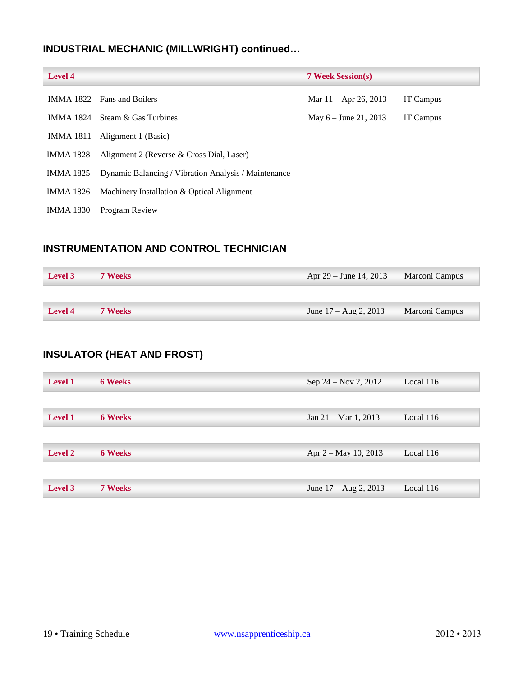# **INDUSTRIAL MECHANIC (MILLWRIGHT) continued…**

| <b>Level 4</b>   |                                                      | <b>7 Week Session(s)</b> |                  |
|------------------|------------------------------------------------------|--------------------------|------------------|
|                  | IMMA 1822 Fans and Boilers                           | Mar $11 -$ Apr 26, 2013  | <b>IT Campus</b> |
| IMMA 1824        | Steam & Gas Turbines                                 | May $6 -$ June 21, 2013  | <b>IT Campus</b> |
| IMMA 1811        | Alignment 1 (Basic)                                  |                          |                  |
| <b>IMMA 1828</b> | Alignment 2 (Reverse & Cross Dial, Laser)            |                          |                  |
| IMMA 1825        | Dynamic Balancing / Vibration Analysis / Maintenance |                          |                  |
| IMMA 1826        | Machinery Installation & Optical Alignment           |                          |                  |
| <b>IMMA 1830</b> | Program Review                                       |                          |                  |

### <span id="page-19-0"></span>**INSTRUMENTATION AND CONTROL TECHNICIAN**

| <b>Level 3</b> | <b>7 Weeks</b> | Apr $29 -$ June 14, 2013         | Marconi Campus |
|----------------|----------------|----------------------------------|----------------|
|                |                |                                  |                |
| <b>Level 4</b> | <b>7 Weeks</b> | June $17 - \text{Aug } 2$ , 2013 | Marconi Campus |

### <span id="page-19-1"></span>**INSULATOR (HEAT AND FROST)**

| <b>Level 1</b> | <b>6 Weeks</b> | Sep $24 - Nov 2, 2012$           | Local 116   |
|----------------|----------------|----------------------------------|-------------|
|                |                |                                  |             |
| <b>Level 1</b> | <b>6 Weeks</b> | Jan $21 - \text{Mar } 1, 2013$   | Local 116   |
|                |                |                                  |             |
| <b>Level 2</b> | <b>6 Weeks</b> | Apr $2 - May 10, 2013$           | Local $116$ |
|                |                |                                  |             |
| Level 3        | <b>7 Weeks</b> | June $17 - \text{Aug } 2$ , 2013 | Local 116   |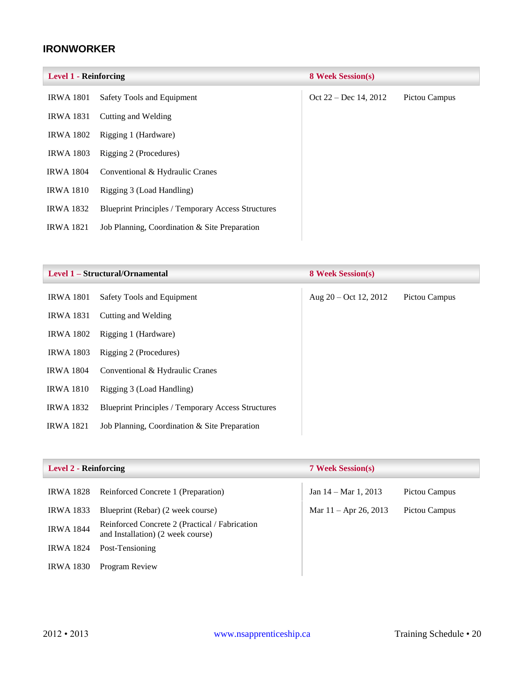### <span id="page-20-0"></span>**IRONWORKER**

| <b>Level 1 - Reinforcing</b> |                                                           | <b>8 Week Session(s)</b> |               |
|------------------------------|-----------------------------------------------------------|--------------------------|---------------|
| <b>IRWA 1801</b>             | Safety Tools and Equipment                                | Oct $22 - Dec 14, 2012$  | Pictou Campus |
| <b>IRWA 1831</b>             | Cutting and Welding                                       |                          |               |
| <b>IRWA 1802</b>             | Rigging 1 (Hardware)                                      |                          |               |
| <b>IRWA 1803</b>             | Rigging 2 (Procedures)                                    |                          |               |
| <b>IRWA 1804</b>             | Conventional & Hydraulic Cranes                           |                          |               |
| <b>IRWA 1810</b>             | Rigging 3 (Load Handling)                                 |                          |               |
| <b>IRWA 1832</b>             | <b>Blueprint Principles / Temporary Access Structures</b> |                          |               |
| <b>IRWA 1821</b>             | Job Planning, Coordination & Site Preparation             |                          |               |
|                              |                                                           |                          |               |

|                  | Level 1 – Structural/Ornamental                           | <b>8 Week Session(s)</b> |               |
|------------------|-----------------------------------------------------------|--------------------------|---------------|
| <b>IRWA 1801</b> | Safety Tools and Equipment                                | Aug $20 - Oct$ 12, 2012  | Pictou Campus |
| <b>IRWA 1831</b> | Cutting and Welding                                       |                          |               |
| <b>IRWA 1802</b> | Rigging 1 (Hardware)                                      |                          |               |
| <b>IRWA 1803</b> | Rigging 2 (Procedures)                                    |                          |               |
| <b>IRWA 1804</b> | Conventional & Hydraulic Cranes                           |                          |               |
| <b>IRWA 1810</b> | Rigging 3 (Load Handling)                                 |                          |               |
| <b>IRWA 1832</b> | <b>Blueprint Principles / Temporary Access Structures</b> |                          |               |
| <b>IRWA 1821</b> | Job Planning, Coordination & Site Preparation             |                          |               |

| <b>Level 2 - Reinforcing</b> |                                                                                     | <b>7 Week Session(s)</b>       |               |
|------------------------------|-------------------------------------------------------------------------------------|--------------------------------|---------------|
| <b>IRWA 1828</b>             | Reinforced Concrete 1 (Preparation)                                                 | Jan $14 - \text{Mar } 1, 2013$ | Pictou Campus |
| <b>IRWA 1833</b>             | Blueprint (Rebar) (2 week course)                                                   | Mar $11 -$ Apr 26, 2013        | Pictou Campus |
| <b>IRWA 1844</b>             | Reinforced Concrete 2 (Practical / Fabrication<br>and Installation) (2 week course) |                                |               |
| <b>IRWA 1824</b>             | Post-Tensioning                                                                     |                                |               |
| <b>IRWA 1830</b>             | Program Review                                                                      |                                |               |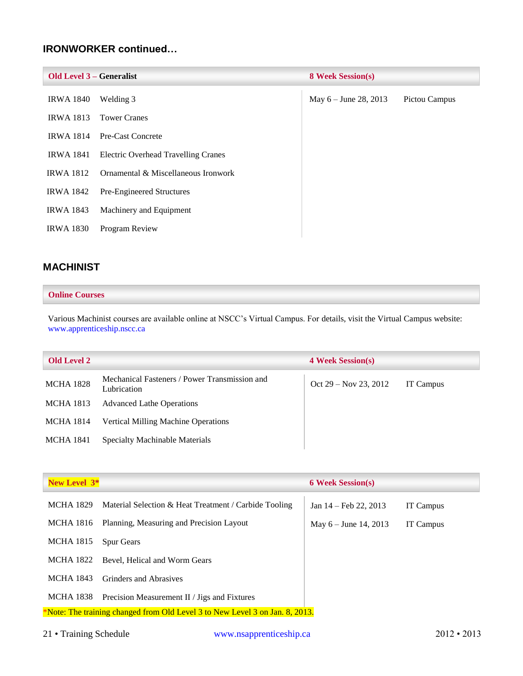### **IRONWORKER continued…**

| <b>Old Level 3 – Generalist</b> |                                     | <b>8 Week Session(s)</b> |               |
|---------------------------------|-------------------------------------|--------------------------|---------------|
| <b>IRWA 1840</b>                | Welding 3                           | May $6 -$ June 28, 2013  | Pictou Campus |
| <b>IRWA 1813</b>                | <b>Tower Cranes</b>                 |                          |               |
| <b>IRWA 1814</b>                | Pre-Cast Concrete                   |                          |               |
| <b>IRWA 1841</b>                | Electric Overhead Travelling Cranes |                          |               |
| <b>IRWA 1812</b>                | Ornamental & Miscellaneous Ironwork |                          |               |
| <b>IRWA 1842</b>                | Pre-Engineered Structures           |                          |               |
| <b>IRWA 1843</b>                | Machinery and Equipment             |                          |               |
| <b>IRWA 1830</b>                | Program Review                      |                          |               |

### <span id="page-21-0"></span>**MACHINIST**

#### **Online Courses**

Various Machinist courses are available online at NSCC's Virtual Campus. For details, visit the Virtual Campus website: [www.apprenticeship.nscc.ca](http://www.apprenticeship.nscc.ca/)

| <b>Old Level 2</b> |                                                              | <b>4 Week Session(s)</b> |           |
|--------------------|--------------------------------------------------------------|--------------------------|-----------|
| <b>MCHA 1828</b>   | Mechanical Fasteners / Power Transmission and<br>Lubrication | Oct $29 - Nov 23, 2012$  | IT Campus |
| <b>MCHA 1813</b>   | <b>Advanced Lathe Operations</b>                             |                          |           |
| MCHA 1814          | <b>Vertical Milling Machine Operations</b>                   |                          |           |
| <b>MCHA 1841</b>   | Specialty Machinable Materials                               |                          |           |

| New Level 3 <sup>*</sup> |                                                                              | <b>6 Week Session(s)</b> |           |
|--------------------------|------------------------------------------------------------------------------|--------------------------|-----------|
| MCHA 1829                | Material Selection & Heat Treatment / Carbide Tooling                        | Jan $14$ – Feb 22, 2013  | IT Campus |
| MCHA 1816                | Planning, Measuring and Precision Layout                                     | May $6 -$ June 14, 2013  | IT Campus |
| MCHA 1815                | <b>Spur Gears</b>                                                            |                          |           |
| MCHA 1822                | Bevel, Helical and Worm Gears                                                |                          |           |
| MCHA 1843                | <b>Grinders and Abrasives</b>                                                |                          |           |
| MCHA 1838                | Precision Measurement II / Jigs and Fixtures                                 |                          |           |
|                          | *Note: The training changed from Old Level 3 to New Level 3 on Jan. 8, 2013. |                          |           |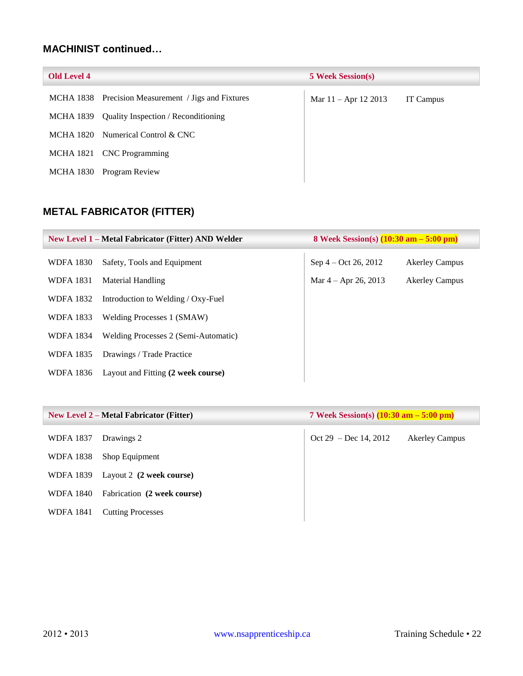### **MACHINIST continued…**

| <b>Old Level 4</b> |                                                     | <b>5 Week Session(s)</b> |           |
|--------------------|-----------------------------------------------------|--------------------------|-----------|
|                    | MCHA 1838 Precision Measurement / Jigs and Fixtures | Mar 11 - Apr 12 2013     | IT Campus |
|                    | MCHA 1839 Quality Inspection / Reconditioning       |                          |           |
|                    | MCHA 1820 Numerical Control $& \text{CNC}$          |                          |           |
|                    | MCHA 1821 CNC Programming                           |                          |           |
|                    | MCHA 1830 Program Review                            |                          |           |
|                    |                                                     |                          |           |

### <span id="page-22-0"></span>**METAL FABRICATOR (FITTER)**

<span id="page-22-1"></span>

| <b>New Level 1 – Metal Fabricator (Fitter) AND Welder</b> |                                      | 8 Week Session(s) $(10:30 \text{ am} - 5:00 \text{ pm})$ |                       |
|-----------------------------------------------------------|--------------------------------------|----------------------------------------------------------|-----------------------|
| <b>WDFA 1830</b>                                          | Safety, Tools and Equipment          | Sep $4 - Oct 26, 2012$                                   | <b>Akerley Campus</b> |
| <b>WDFA 1831</b>                                          | Material Handling                    | Mar $4 -$ Apr 26, 2013                                   | <b>Akerley Campus</b> |
| <b>WDFA 1832</b>                                          | Introduction to Welding / Oxy-Fuel   |                                                          |                       |
| <b>WDFA 1833</b>                                          | Welding Processes 1 (SMAW)           |                                                          |                       |
| <b>WDFA 1834</b>                                          | Welding Processes 2 (Semi-Automatic) |                                                          |                       |
| <b>WDFA 1835</b>                                          | Drawings / Trade Practice            |                                                          |                       |
| WDFA 1836                                                 | Layout and Fitting (2 week course)   |                                                          |                       |

| <b>New Level 2 – Metal Fabricator (Fitter)</b> |                             | 7 Week Session(s) $(10:30 \text{ am} - 5:00 \text{ pm})$ |                       |
|------------------------------------------------|-----------------------------|----------------------------------------------------------|-----------------------|
| <b>WDFA 1837</b>                               | Drawings 2                  | Oct 29 – Dec 14, 2012                                    | <b>Akerley Campus</b> |
| <b>WDFA 1838</b>                               | Shop Equipment              |                                                          |                       |
| WDFA 1839                                      | Layout 2 (2 week course)    |                                                          |                       |
| <b>WDFA 1840</b>                               | Fabrication (2 week course) |                                                          |                       |
| <b>WDFA 1841</b>                               | <b>Cutting Processes</b>    |                                                          |                       |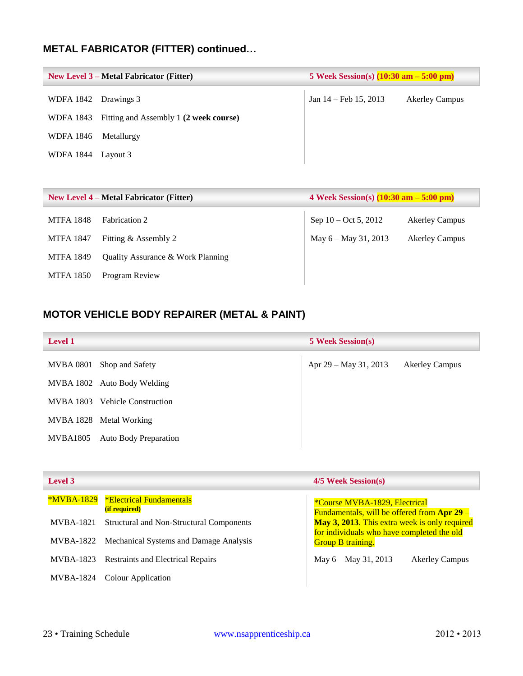# **METAL FABRICATOR (FITTER) continued…**

| New Level $3$ – Metal Fabricator (Fitter) |                                        | 5 Week Session(s) $(10:30 \text{ am} - 5:00 \text{ pm})$ |                       |
|-------------------------------------------|----------------------------------------|----------------------------------------------------------|-----------------------|
| WDFA 1842 Drawings 3                      |                                        | Jan $14$ – Feb 15, 2013                                  | <b>Akerley Campus</b> |
| WDFA 1843                                 | Fitting and Assembly 1 (2 week course) |                                                          |                       |
| WDFA 1846                                 | Metallurgy                             |                                                          |                       |
| WDFA 1844 Layout 3                        |                                        |                                                          |                       |

| <b>New Level 4 – Metal Fabricator (Fitter)</b> |                                              | 4 Week Session(s) $(10:30 \text{ am} - 5:00 \text{ pm})$ |                       |
|------------------------------------------------|----------------------------------------------|----------------------------------------------------------|-----------------------|
| <b>MTFA 1848</b>                               | <b>Fabrication 2</b>                         | Sep $10 - \text{Oct } 5$ , 2012                          | <b>Akerley Campus</b> |
| <b>MTFA 1847</b>                               | Fitting & Assembly 2                         | May 6 – May 31, 2013                                     | <b>Akerley Campus</b> |
| <b>MTFA 1849</b>                               | <b>Ouality Assurance &amp; Work Planning</b> |                                                          |                       |
| <b>MTFA 1850</b>                               | Program Review                               |                                                          |                       |

### <span id="page-23-0"></span>**MOTOR VEHICLE BODY REPAIRER (METAL & PAINT)**

| <b>Level 1</b>   |                              | <b>5 Week Session(s)</b> |                       |
|------------------|------------------------------|--------------------------|-----------------------|
| MVBA 0801        | Shop and Safety              | Apr 29 – May 31, 2013    | <b>Akerley Campus</b> |
|                  | MVBA 1802 Auto Body Welding  |                          |                       |
| <b>MVBA 1803</b> | <b>Vehicle Construction</b>  |                          |                       |
|                  | MVBA 1828 Metal Working      |                          |                       |
| MVBA1805         | <b>Auto Body Preparation</b> |                          |                       |

| Level 3           |                                                         | 4/5 Week Session(s)                                                          |
|-------------------|---------------------------------------------------------|------------------------------------------------------------------------------|
| <b>*MVBA-1829</b> | <b>*Electrical Fundamentals</b><br><i>(if required)</i> | *Course MVBA-1829, Electrical<br>Fundamentals, will be offered from Apr 29 - |
| MVBA-1821         | Structural and Non-Structural Components                | May 3, 2013. This extra week is only required                                |
|                   | MVBA-1822 Mechanical Systems and Damage Analysis        | for individuals who have completed the old<br><b>Group B training.</b>       |
| MVBA-1823         | <b>Restraints and Electrical Repairs</b>                | May 6 – May 31, 2013<br><b>Akerley Campus</b>                                |
| MVBA-1824         | Colour Application                                      |                                                                              |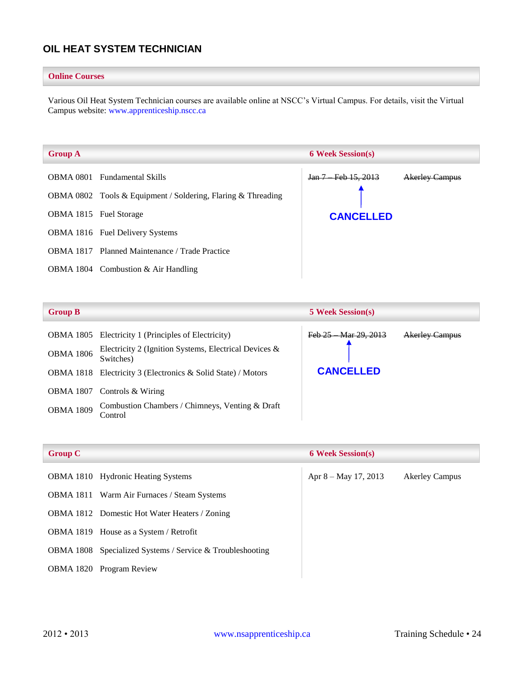### <span id="page-24-0"></span>**OIL HEAT SYSTEM TECHNICIAN**

#### **Online Courses**

Various Oil Heat System Technician courses are available online at NSCC's Virtual Campus. For details, visit the Virtual Campus website: [www.apprenticeship.nscc.ca](http://www.apprenticeship.nscc.ca/)

| <b>Group A</b>         |                                                              | <b>6 Week Session(s)</b> |                       |
|------------------------|--------------------------------------------------------------|--------------------------|-----------------------|
|                        | <b>OBMA 0801</b> Fundamental Skills                          | Jan 7 Feb 15, 2013       | <b>Akerley Campus</b> |
|                        | OBMA 0802 Tools & Equipment / Soldering, Flaring & Threading |                          |                       |
| OBMA 1815 Fuel Storage |                                                              | <b>CANCELLED</b>         |                       |
|                        | <b>OBMA 1816</b> Fuel Delivery Systems                       |                          |                       |
|                        | <b>OBMA 1817</b> Planned Maintenance / Trade Practice        |                          |                       |
|                        | OBMA 1804 Combustion $& Air$ Handling                        |                          |                       |

| <b>Group B</b>   |                                                                                                                              | <b>5 Week Session(s)</b>      |                |
|------------------|------------------------------------------------------------------------------------------------------------------------------|-------------------------------|----------------|
| <b>OBMA 1806</b> | OBMA 1805 Electricity 1 (Principles of Electricity)<br>Electricity 2 (Ignition Systems, Electrical Devices $\&$<br>Switches) | <b>Mar 29, 2013</b><br>Feb 25 | Akerley Campus |
| OBMA 1818        | Electricity 3 (Electronics & Solid State) / Motors                                                                           | <b>CANCELLED</b>              |                |
| <b>OBMA 1807</b> | Controls & Wiring                                                                                                            |                               |                |
| <b>OBMA 1809</b> | Combustion Chambers / Chimneys, Venting & Draft<br>Control                                                                   |                               |                |

| <b>Group C</b> |                                                                  | <b>6 Week Session(s)</b> |                       |
|----------------|------------------------------------------------------------------|--------------------------|-----------------------|
|                | <b>OBMA 1810</b> Hydronic Heating Systems                        | Apr 8 – May 17, 2013     | <b>Akerley Campus</b> |
|                | <b>OBMA 1811</b> Warm Air Furnaces / Steam Systems               |                          |                       |
|                | <b>OBMA 1812</b> Domestic Hot Water Heaters / Zoning             |                          |                       |
|                | OBMA 1819 House as a System / Retrofit                           |                          |                       |
|                | <b>OBMA 1808</b> Specialized Systems / Service & Troubleshooting |                          |                       |
|                | <b>OBMA 1820</b> Program Review                                  |                          |                       |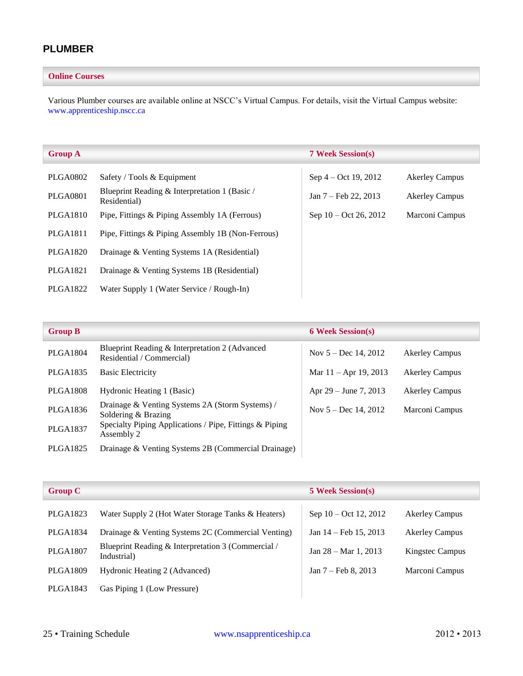### <span id="page-25-0"></span>**PLUMBER**

#### **Online Courses**

Various Plumber courses are available online at NSCC's Virtual Campus. For details, visit the Virtual Campus website: [www.apprenticeship.nscc.ca](http://www.apprenticeship.nscc.ca/)

| <b>Group A</b>  |                                                               | <b>7 Week Session(s)</b>        |                       |
|-----------------|---------------------------------------------------------------|---------------------------------|-----------------------|
| <b>PLGA0802</b> | Safety / Tools & Equipment                                    | Sep $4 - Oct$ 19, 2012          | <b>Akerley Campus</b> |
| <b>PLGA0801</b> | Blueprint Reading & Interpretation 1 (Basic /<br>Residential) | Jan $7 - \text{Feb } 22, 2013$  | <b>Akerley Campus</b> |
| <b>PLGA1810</b> | Pipe, Fittings & Piping Assembly 1A (Ferrous)                 | Sep $10 - \text{Oct } 26, 2012$ | Marconi Campus        |
| <b>PLGA1811</b> | Pipe, Fittings & Piping Assembly 1B (Non-Ferrous)             |                                 |                       |
| <b>PLGA1820</b> | Drainage & Venting Systems 1A (Residential)                   |                                 |                       |
| <b>PLGA1821</b> | Drainage & Venting Systems 1B (Residential)                   |                                 |                       |
| PLGA1822        | Water Supply 1 (Water Service / Rough-In)                     |                                 |                       |

| <b>Group B</b>  |                                                                             | <b>6 Week Session(s)</b> |                       |
|-----------------|-----------------------------------------------------------------------------|--------------------------|-----------------------|
| <b>PLGA1804</b> | Blueprint Reading & Interpretation 2 (Advanced<br>Residential / Commercial) | Nov $5 - Dec 14, 2012$   | <b>Akerley Campus</b> |
| <b>PLGA1835</b> | <b>Basic Electricity</b>                                                    | Mar $11 -$ Apr 19, 2013  | <b>Akerley Campus</b> |
| <b>PLGA1808</b> | Hydronic Heating 1 (Basic)                                                  | Apr $29 -$ June 7, 2013  | <b>Akerley Campus</b> |
| <b>PLGA1836</b> | Drainage & Venting Systems 2A (Storm Systems) /<br>Soldering & Brazing      | Nov $5 - Dec 14, 2012$   | Marconi Campus        |
| <b>PLGA1837</b> | Specialty Piping Applications / Pipe, Fittings & Piping<br>Assembly 2       |                          |                       |
| <b>PLGA1825</b> | Drainage & Venting Systems 2B (Commercial Drainage)                         |                          |                       |

| <b>Group C</b>  |                                                                   | <b>5 Week Session(s)</b> |                       |
|-----------------|-------------------------------------------------------------------|--------------------------|-----------------------|
| PLGA1823        | Water Supply 2 (Hot Water Storage Tanks & Heaters)                | Sep 10 – Oct 12, 2012    | <b>Akerley Campus</b> |
| PLGA1834        | Drainage & Venting Systems 2C (Commercial Venting)                | Jan 14 – Feb 15, 2013    | <b>Akerley Campus</b> |
| <b>PLGA1807</b> | Blueprint Reading & Interpretation 3 (Commercial /<br>Industrial) | Jan $28 - Mar 1, 2013$   | Kingstec Campus       |
| <b>PLGA1809</b> | Hydronic Heating 2 (Advanced)                                     | Jan 7 – Feb 8, 2013      | Marconi Campus        |
| PLGA1843        | Gas Piping 1 (Low Pressure)                                       |                          |                       |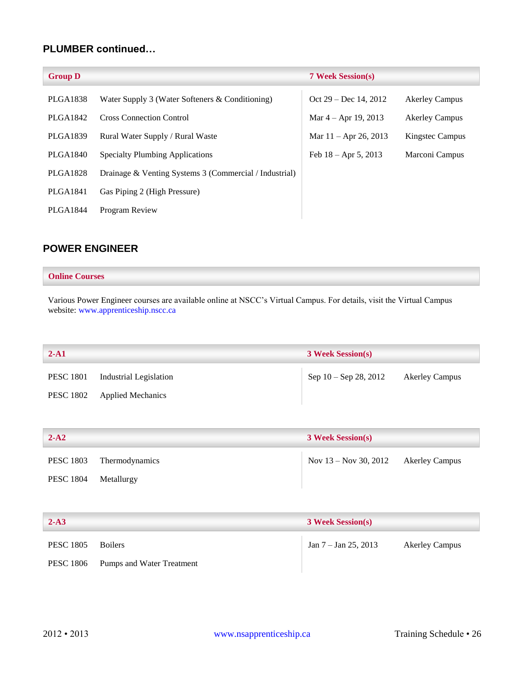### **PLUMBER continued…**

| <b>Group D</b>  |                                                        | <b>7 Week Session(s)</b> |                       |
|-----------------|--------------------------------------------------------|--------------------------|-----------------------|
| PLGA1838        | Water Supply 3 (Water Softeners & Conditioning)        | Oct 29 – Dec 14, 2012    | <b>Akerley Campus</b> |
| PLGA1842        | <b>Cross Connection Control</b>                        | Mar $4 -$ Apr 19, 2013   | <b>Akerley Campus</b> |
| <b>PLGA1839</b> | Rural Water Supply / Rural Waste                       | Mar $11 -$ Apr 26, 2013  | Kingstec Campus       |
| <b>PLGA1840</b> | <b>Specialty Plumbing Applications</b>                 | Feb $18 -$ Apr 5, 2013   | Marconi Campus        |
| <b>PLGA1828</b> | Drainage & Venting Systems 3 (Commercial / Industrial) |                          |                       |
| PLGA1841        | Gas Piping 2 (High Pressure)                           |                          |                       |
| PLGA1844        | <b>Program Review</b>                                  |                          |                       |

### <span id="page-26-0"></span>**POWER ENGINEER**

#### **Online Courses**

Various Power Engineer courses are available online at NSCC's Virtual Campus. For details, visit the Virtual Campus website: [www.apprenticeship.nscc.ca](http://www.apprenticeship.nscc.ca/)

| <b>3 Week Session(s)</b>                |  |
|-----------------------------------------|--|
| Sep 10 – Sep 28, 2012<br>Akerley Campus |  |
|                                         |  |

| $2-A2$               |                | <b>3 Week Session(s)</b> |                       |
|----------------------|----------------|--------------------------|-----------------------|
| <b>PESC 1803</b>     | Thermodynamics | Nov 13 – Nov 30, 2012    | <b>Akerley Campus</b> |
| PESC 1804 Metallurgy |                |                          |                       |

| $2-A3$           |                           | <b>3 Week Session(s)</b> |                       |
|------------------|---------------------------|--------------------------|-----------------------|
| <b>PESC 1805</b> | <b>Boilers</b>            | $Jan 7 - Jan 25, 2013$   | <b>Akerley Campus</b> |
| <b>PESC 1806</b> | Pumps and Water Treatment |                          |                       |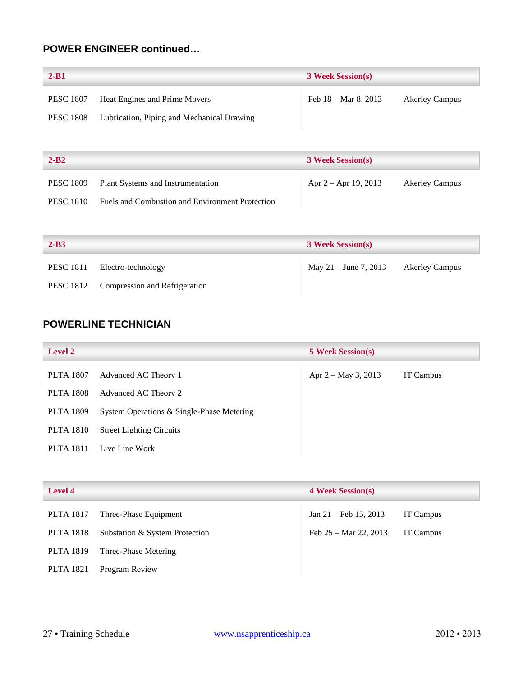### **POWER ENGINEER continued…**

| $2 - B1$         |                                            | <b>3 Week Session(s)</b>       |                       |
|------------------|--------------------------------------------|--------------------------------|-----------------------|
| <b>PESC 1807</b> | Heat Engines and Prime Movers              | Feb $18 - \text{Mar } 8, 2013$ | <b>Akerley Campus</b> |
| <b>PESC 1808</b> | Lubrication, Piping and Mechanical Drawing |                                |                       |

| $2 - B2$         |                                                 | <b>3 Week Session(s)</b> |                       |
|------------------|-------------------------------------------------|--------------------------|-----------------------|
| <b>PESC 1809</b> | Plant Systems and Instrumentation               | Apr 2 – Apr 19, 2013     | <b>Akerley Campus</b> |
| <b>PESC 1810</b> | Fuels and Combustion and Environment Protection |                          |                       |

| $2 - B3$ |                                         | <b>3 Week Session(s)</b>             |  |
|----------|-----------------------------------------|--------------------------------------|--|
|          | PESC 1811 Electro-technology            | May 21 – June 7, 2013 Akerley Campus |  |
|          | PESC 1812 Compression and Refrigeration |                                      |  |

### <span id="page-27-0"></span>**POWERLINE TECHNICIAN**

| <b>Level 2</b>   |                                           | <b>5 Week Session(s)</b> |                  |
|------------------|-------------------------------------------|--------------------------|------------------|
| <b>PLTA 1807</b> | Advanced AC Theory 1                      | Apr 2 – May 3, 2013      | <b>IT Campus</b> |
| <b>PLTA 1808</b> | Advanced AC Theory 2                      |                          |                  |
| <b>PLTA 1809</b> | System Operations & Single-Phase Metering |                          |                  |
| <b>PLTA 1810</b> | <b>Street Lighting Circuits</b>           |                          |                  |
| <b>PLTA 1811</b> | Live Line Work                            |                          |                  |

| <b>Level 4</b>   |                                | <b>4 Week Session(s)</b>         |           |
|------------------|--------------------------------|----------------------------------|-----------|
| <b>PLTA 1817</b> | Three-Phase Equipment          | Jan $21 - \text{Feb } 15, 2013$  | IT Campus |
| <b>PLTA 1818</b> | Substation & System Protection | Feb $25 - \text{Mar } 22$ , 2013 | IT Campus |
| <b>PLTA 1819</b> | Three-Phase Metering           |                                  |           |
| <b>PLTA 1821</b> | Program Review                 |                                  |           |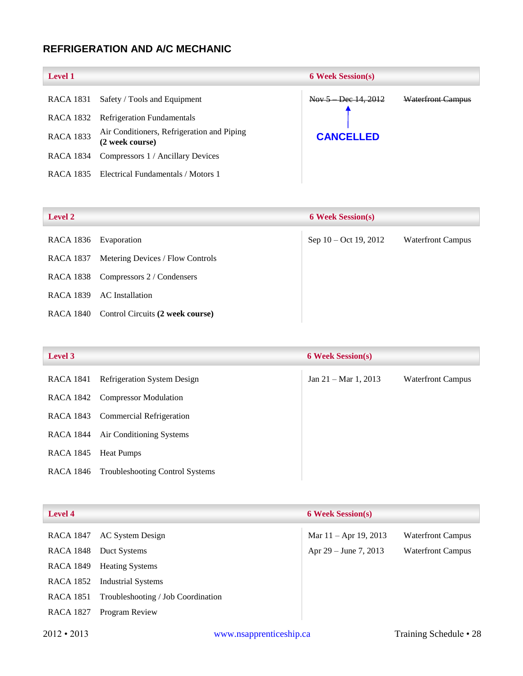### <span id="page-28-0"></span>**REFRIGERATION AND A/C MECHANIC**

| <b>Level 1</b>   |                                                               | <b>6 Week Session(s)</b> |                          |
|------------------|---------------------------------------------------------------|--------------------------|--------------------------|
| RACA 1831        | Safety / Tools and Equipment                                  | $Now 5 - Dec 14, 2012$   | <b>Waterfront Campus</b> |
| RACA 1832        | <b>Refrigeration Fundamentals</b>                             |                          |                          |
| <b>RACA 1833</b> | Air Conditioners, Refrigeration and Piping<br>(2 week course) | <b>CANCELLED</b>         |                          |
| RACA 1834        | Compressors 1 / Ancillary Devices                             |                          |                          |
| RACA 1835        | Electrical Fundamentals / Motors 1                            |                          |                          |

# RACA 1836 Evaporation Sep 10 – Oct 19, 2012 Waterfront Campus RACA 1837 Metering Devices / Flow Controls RACA 1838 Compressors 2 / Condensers RACA 1839 AC Installation RACA 1840 Control Circuits **(2 week course) Level 2 6 Week Session(s)**

| <b>Level 3</b> |                                        | <b>6 Week Session(s)</b>       |                          |
|----------------|----------------------------------------|--------------------------------|--------------------------|
| RACA 1841      | Refrigeration System Design            | Jan $21 - \text{Mar } 1, 2013$ | <b>Waterfront Campus</b> |
|                | RACA 1842 Compressor Modulation        |                                |                          |
|                | RACA 1843 Commercial Refrigeration     |                                |                          |
| RACA 1844      | Air Conditioning Systems               |                                |                          |
| RACA 1845      | <b>Heat Pumps</b>                      |                                |                          |
| RACA 1846      | <b>Troubleshooting Control Systems</b> |                                |                          |

| <b>Level 4</b>    |                                    | <b>6 Week Session(s)</b> |                          |
|-------------------|------------------------------------|--------------------------|--------------------------|
| RACA 1847         | AC System Design                   | Mar $11 -$ Apr 19, 2013  | <b>Waterfront Campus</b> |
| <b>RACA 1848</b>  | Duct Systems                       | Apr 29 – June 7, 2013    | <b>Waterfront Campus</b> |
| <b>RACA 1849</b>  | <b>Heating Systems</b>             |                          |                          |
| RACA 1852         | Industrial Systems                 |                          |                          |
| RACA 1851         | Troubleshooting / Job Coordination |                          |                          |
| <b>RACA 1827</b>  | Program Review                     |                          |                          |
| $2012 \cdot 2013$ | www.nsapprenticeship.ca            |                          | Training Schedule • 28   |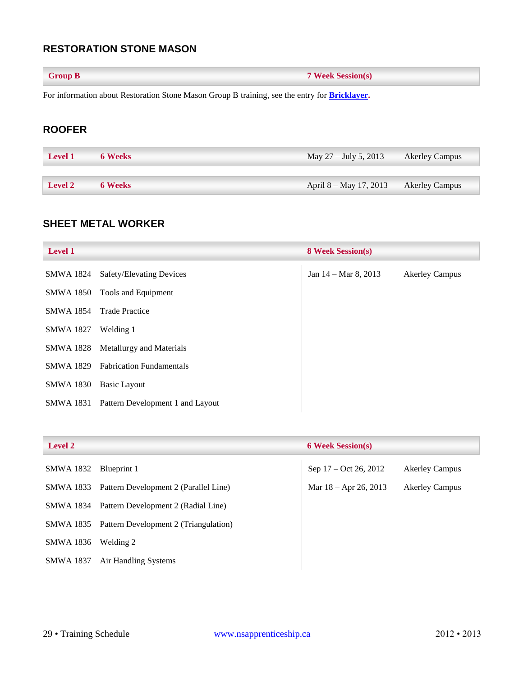### <span id="page-29-0"></span>**RESTORATION STONE MASON**

| <b>Group B</b> | <b>7 Week Session(s)</b> |
|----------------|--------------------------|
|----------------|--------------------------|

For information about Restoration Stone Mason Group B training, see the entry for **[Bricklayer.](#page-10-3)**

### <span id="page-29-1"></span>**ROOFER**

| <b>Level 1</b> | 6 Weeks        | May 27 – July 5, 2013  | <b>Akerley Campus</b> |
|----------------|----------------|------------------------|-----------------------|
|                |                |                        |                       |
| <b>Level 2</b> | <b>6 Weeks</b> | April 8 – May 17, 2013 | <b>Akerley Campus</b> |

#### <span id="page-29-2"></span>**SHEET METAL WORKER**

| <b>Level 1</b>   |                                           | <b>8 Week Session(s)</b>       |                       |
|------------------|-------------------------------------------|--------------------------------|-----------------------|
| SMWA 1824        | Safety/Elevating Devices                  | Jan $14 - \text{Mar } 8, 2013$ | <b>Akerley Campus</b> |
| SMWA 1850        | Tools and Equipment                       |                                |                       |
| <b>SMWA 1854</b> | <b>Trade Practice</b>                     |                                |                       |
| <b>SMWA 1827</b> | Welding 1                                 |                                |                       |
| SMWA 1828        | Metallurgy and Materials                  |                                |                       |
|                  | <b>SMWA 1829</b> Fabrication Fundamentals |                                |                       |
| <b>SMWA 1830</b> | Basic Layout                              |                                |                       |
| SMWA 1831        | Pattern Development 1 and Layout          |                                |                       |

#### **Level 2 6 Week Session(s)**

| SMWA 1832 Blueprint 1 |                                                 | Sep 17 – Oct 26, 2012   | <b>Akerley Campus</b> |
|-----------------------|-------------------------------------------------|-------------------------|-----------------------|
|                       | SMWA 1833 Pattern Development 2 (Parallel Line) | Mar $18 -$ Apr 26, 2013 | <b>Akerley Campus</b> |
|                       | SMWA 1834 Pattern Development 2 (Radial Line)   |                         |                       |
|                       | SMWA 1835 Pattern Development 2 (Triangulation) |                         |                       |
| SMWA 1836             | Welding 2                                       |                         |                       |
| SMWA 1837             | Air Handling Systems                            |                         |                       |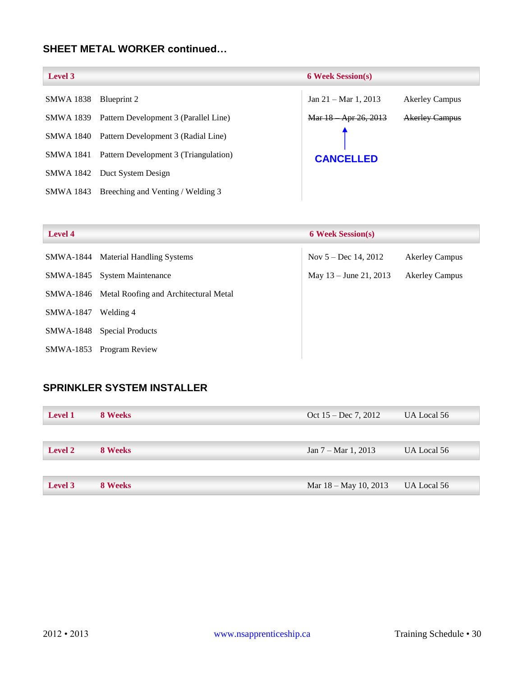### **SHEET METAL WORKER continued…**

| Level 3          |                                       | <b>6 Week Session(s)</b>        |                       |
|------------------|---------------------------------------|---------------------------------|-----------------------|
| <b>SMWA 1838</b> | Blueprint 2                           | Jan $21 - \text{Mar } 1$ , 2013 | <b>Akerley Campus</b> |
| SMWA 1839        | Pattern Development 3 (Parallel Line) | Mar 18 Apr 26, 2013             | <b>Akerley Campus</b> |
| SMWA 1840        | Pattern Development 3 (Radial Line)   |                                 |                       |
| SMWA 1841        | Pattern Development 3 (Triangulation) | <b>CANCELLED</b>                |                       |
|                  | SMWA 1842 Duct System Design          |                                 |                       |
| SMWA 1843        | Breeching and Venting / Welding 3     |                                 |                       |

| <b>Level 4</b> |                                                 | <b>6 Week Session(s)</b> |                       |
|----------------|-------------------------------------------------|--------------------------|-----------------------|
| SMWA-1844      | <b>Material Handling Systems</b>                | Nov $5 - Dec$ 14, 2012   | <b>Akerley Campus</b> |
|                | SMWA-1845 System Maintenance                    | May 13 – June 21, 2013   | <b>Akerley Campus</b> |
|                | SMWA-1846 Metal Roofing and Architectural Metal |                          |                       |
| SMWA-1847      | Welding 4                                       |                          |                       |
| SMWA-1848      | <b>Special Products</b>                         |                          |                       |
| SMWA-1853      | Program Review                                  |                          |                       |

### <span id="page-30-0"></span>**SPRINKLER SYSTEM INSTALLER**

| <b>Level 1</b> | 8 Weeks | Oct $15 - Dec 7, 2012$ | UA Local 56 |
|----------------|---------|------------------------|-------------|
|                |         |                        |             |
| <b>Level 2</b> | 8 Weeks | Jan 7 – Mar 1, 2013    | UA Local 56 |
|                |         |                        |             |
| Level 3        | 8 Weeks | Mar 18 – May 10, 2013  | UA Local 56 |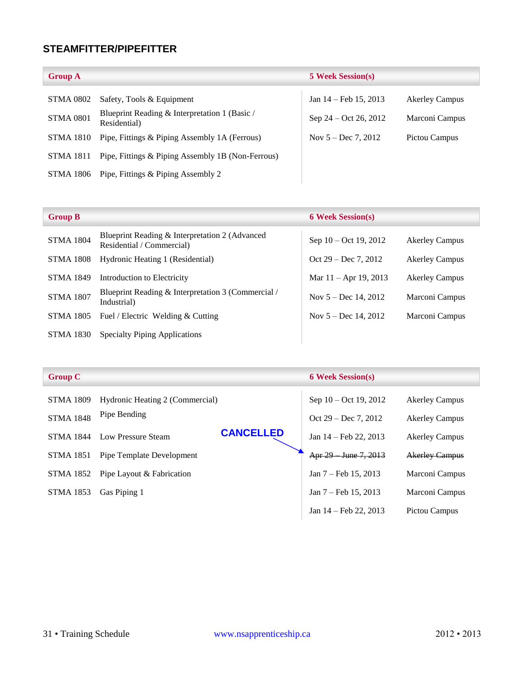### <span id="page-31-0"></span>**STEAMFITTER/PIPEFITTER**

| <b>Group A</b>   |                                                               | <b>5 Week Session(s)</b> |                       |
|------------------|---------------------------------------------------------------|--------------------------|-----------------------|
| STMA 0802        | Safety, Tools & Equipment                                     | Jan $14$ – Feb 15, 2013  | <b>Akerley Campus</b> |
| <b>STMA 0801</b> | Blueprint Reading & Interpretation 1 (Basic /<br>Residential) | Sep $24 - Oct 26, 2012$  | Marconi Campus        |
| STMA 1810        | Pipe, Fittings & Piping Assembly 1A (Ferrous)                 | Nov $5 - Dec 7, 2012$    | Pictou Campus         |
| <b>STMA 1811</b> | Pipe, Fittings & Piping Assembly 1B (Non-Ferrous)             |                          |                       |
| STMA 1806        | Pipe, Fittings & Piping Assembly 2                            |                          |                       |

| <b>Group B</b>   |                                                                             | <b>6 Week Session(s)</b> |                       |
|------------------|-----------------------------------------------------------------------------|--------------------------|-----------------------|
| <b>STMA 1804</b> | Blueprint Reading & Interpretation 2 (Advanced<br>Residential / Commercial) | Sep 10 – Oct 19, 2012    | <b>Akerley Campus</b> |
| <b>STMA 1808</b> | Hydronic Heating 1 (Residential)                                            | Oct $29 - Dec 7, 2012$   | <b>Akerley Campus</b> |
| <b>STMA 1849</b> | Introduction to Electricity                                                 | Mar $11 -$ Apr 19, 2013  | <b>Akerley Campus</b> |
| <b>STMA 1807</b> | Blueprint Reading & Interpretation 3 (Commercial /<br>Industrial)           | Nov $5 - Dec$ 14, 2012   | Marconi Campus        |
| <b>STMA 1805</b> | Fuel / Electric Welding & Cutting                                           | Nov $5 - Dec$ 14, 2012   | Marconi Campus        |
| <b>STMA 1830</b> | <b>Specialty Piping Applications</b>                                        |                          |                       |

| <b>Group C</b>   |                                 |                  | <b>6 Week Session(s)</b>       |                       |
|------------------|---------------------------------|------------------|--------------------------------|-----------------------|
| <b>STMA 1809</b> | Hydronic Heating 2 (Commercial) |                  | Sep 10 – Oct 19, 2012          | <b>Akerley Campus</b> |
| <b>STMA 1848</b> | Pipe Bending                    |                  | Oct $29 - Dec 7, 2012$         | <b>Akerley Campus</b> |
| <b>STMA 1844</b> | Low Pressure Steam              | <b>CANCELLED</b> | Jan 14 – Feb 22, 2013          | <b>Akerley Campus</b> |
| STMA 1851        | Pipe Template Development       |                  | Apr 29 June 7, 2013            | <b>Akerley Campus</b> |
| STMA 1852        | Pipe Layout & Fabrication       |                  | Jan $7 - \text{Feb } 15, 2013$ | Marconi Campus        |
| <b>STMA 1853</b> | Gas Piping 1                    |                  | Jan 7 – Feb 15, 2013           | Marconi Campus        |
|                  |                                 |                  | Jan 14 – Feb 22, 2013          | Pictou Campus         |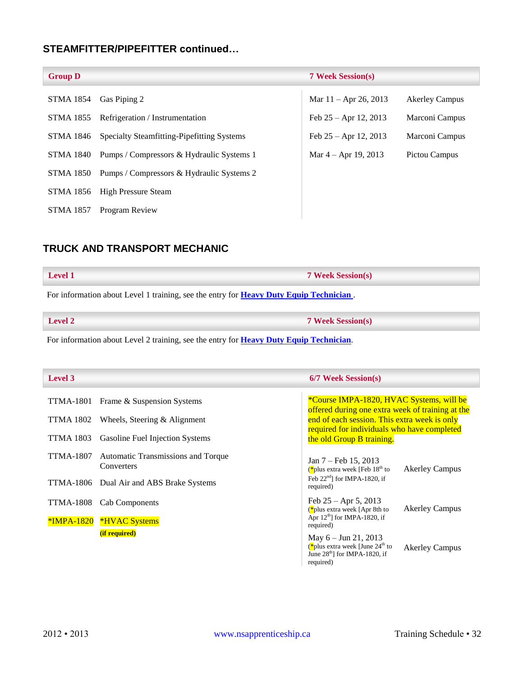### **STEAMFITTER/PIPEFITTER continued…**

| <b>Group D</b>   |                                                     | <b>7 Week Session(s)</b> |                       |
|------------------|-----------------------------------------------------|--------------------------|-----------------------|
| STMA 1854        | Gas Piping 2                                        | Mar $11 -$ Apr 26, 2013  | <b>Akerley Campus</b> |
| STMA 1855        | Refrigeration / Instrumentation                     | Feb $25 -$ Apr 12, 2013  | Marconi Campus        |
| STMA 1846        | Specialty Steamfitting-Pipefitting Systems          | Feb $25 -$ Apr 12, 2013  | Marconi Campus        |
|                  | STMA 1840 Pumps / Compressors & Hydraulic Systems 1 | Mar $4 -$ Apr 19, 2013   | Pictou Campus         |
| STMA 1850        | Pumps / Compressors & Hydraulic Systems 2           |                          |                       |
|                  | STMA 1856 High Pressure Steam                       |                          |                       |
| <b>STMA 1857</b> | Program Review                                      |                          |                       |

### <span id="page-32-0"></span>**TRUCK AND TRANSPORT MECHANIC**

| Level 1                                                                                        | <b>7 Week Session(s)</b> |  |
|------------------------------------------------------------------------------------------------|--------------------------|--|
| For information about Level 1 training, see the entry for <b>Heavy Duty Equip Technician</b> . |                          |  |
| $\blacktriangleright$ Level 2                                                                  | <b>7 Week Session(s)</b> |  |

| For information about Level 2 training, see the entry for <b>Heavy Duty Equip Technician</b> . |  |  |
|------------------------------------------------------------------------------------------------|--|--|

| Level 3                 |                                                                                    | 6/7 Week Session(s)                                                                                                                             |
|-------------------------|------------------------------------------------------------------------------------|-------------------------------------------------------------------------------------------------------------------------------------------------|
| TTMA-1801               | Frame & Suspension Systems                                                         | *Course IMPA-1820, HVAC Systems, will be<br>offered during one extra week of training at the                                                    |
| TTMA 1802               | Wheels, Steering $\&$ Alignment                                                    | end of each session. This extra week is only                                                                                                    |
| <b>TTMA 1803</b>        | Gasoline Fuel Injection Systems                                                    | required for individuals who have completed<br>the old Group B training.                                                                        |
| TTMA-1807<br>TTMA-1806  | Automatic Transmissions and Torque<br>Converters<br>Dual Air and ABS Brake Systems | Jan $7 - \text{Feb } 15, 2013$<br>(*plus extra week [Feb $18th$ to<br><b>Akerley Campus</b><br>Feb $22nd$ for IMPA-1820, if                     |
| TTMA-1808<br>*IMPA-1820 | <b>Cab Components</b><br><b>*HVAC Systems</b>                                      | required)<br>Feb $25 -$ Apr 5, 2013<br><b>Akerley Campus</b><br>$(*$ plus extra week [Apr 8th to<br>Apr $12th$ ] for IMPA-1820, if<br>required) |
|                         | (if required)                                                                      | May $6 -$ Jun 21, 2013<br>(*plus extra week [June $24th$ to<br><b>Akerley Campus</b><br>June $28th$ ] for IMPA-1820, if<br>required)            |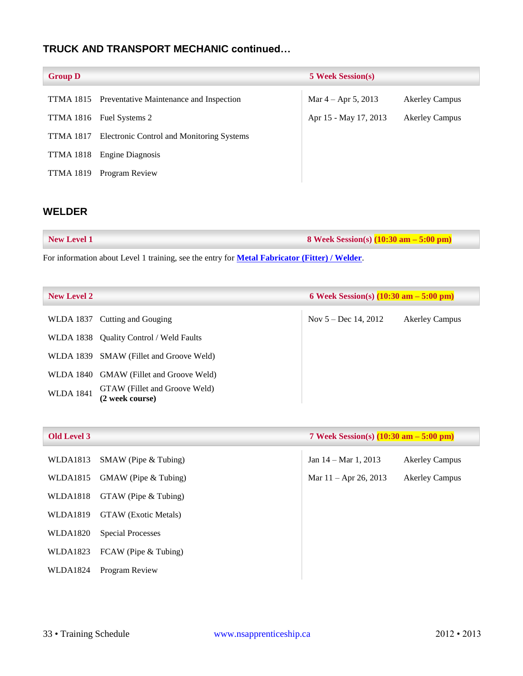### **TRUCK AND TRANSPORT MECHANIC continued…**

| <b>Group D</b>   |                                                   | <b>5 Week Session(s)</b> |                       |
|------------------|---------------------------------------------------|--------------------------|-----------------------|
|                  | TTMA 1815 Preventative Maintenance and Inspection | Mar $4 -$ Apr 5, 2013    | <b>Akerley Campus</b> |
| TTMA 1816        | Fuel Systems 2                                    | Apr 15 - May 17, 2013    | <b>Akerley Campus</b> |
| <b>TTMA 1817</b> | Electronic Control and Monitoring Systems         |                          |                       |
| <b>TTMA 1818</b> | Engine Diagnosis                                  |                          |                       |
| <b>TTMA 1819</b> | Program Review                                    |                          |                       |

### <span id="page-33-0"></span>**WELDER**

| <b>New Level 1</b> | 8 Week Session(s) $(10:30 \text{ am} - 5:00 \text{ pm})$ |
|--------------------|----------------------------------------------------------|
|--------------------|----------------------------------------------------------|

For information about Level 1 training, see the entry for **[Metal Fabricator \(Fitter\) / Welder](#page-22-1)**.

| <b>New Level 2</b> | 6 Week Session(s) $(10:30 \text{ am} - 5:00 \text{ pm})$ |                        |                       |
|--------------------|----------------------------------------------------------|------------------------|-----------------------|
|                    | WLDA 1837 Cutting and Gouging                            | Nov $5 - Dec$ 14, 2012 | <b>Akerley Campus</b> |
|                    | WLDA 1838 Quality Control / Weld Faults                  |                        |                       |
|                    | WLDA 1839 SMAW (Fillet and Groove Weld)                  |                        |                       |
|                    | WLDA 1840 GMAW (Fillet and Groove Weld)                  |                        |                       |
| <b>WLDA 1841</b>   | GTAW (Fillet and Groove Weld)<br>(2 week course)         |                        |                       |

| 7 Week Session(s) $(10:30 \text{ am} - 5:00 \text{ pm})$<br><b>Old Level 3</b> |                             |                                |                       |
|--------------------------------------------------------------------------------|-----------------------------|--------------------------------|-----------------------|
| WLDA1813                                                                       | $SMAW$ (Pipe $& Tubing$ )   | Jan $14 - \text{Mar } 1, 2013$ | <b>Akerley Campus</b> |
| WLDA1815                                                                       | GMAW (Pipe & Tubing)        | Mar $11 -$ Apr 26, 2013        | <b>Akerley Campus</b> |
| WLDA1818                                                                       | GTAW (Pipe & Tubing)        |                                |                       |
| WLDA1819                                                                       | <b>GTAW</b> (Exotic Metals) |                                |                       |
| WLDA1820                                                                       | <b>Special Processes</b>    |                                |                       |
| WLDA1823                                                                       | FCAW (Pipe & Tubing)        |                                |                       |
| <b>WLDA1824</b>                                                                | Program Review              |                                |                       |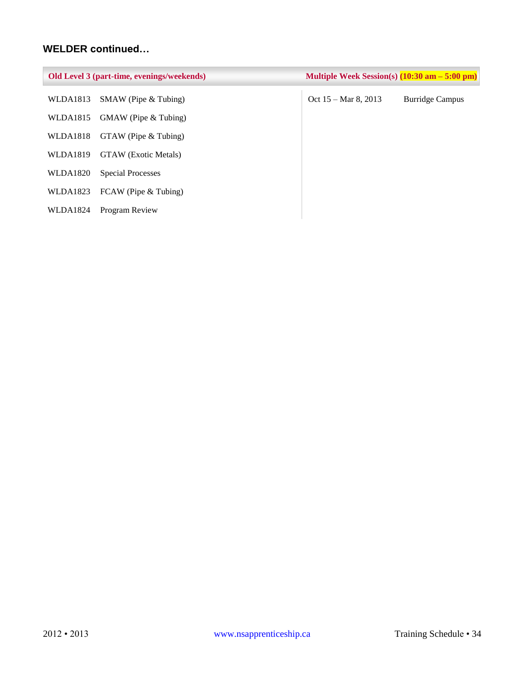### **WELDER continued…**

| Old Level 3 (part-time, evenings/weekends) |                             | Multiple Week Session(s) $(10:30 \text{ am} - 5:00 \text{ pm})$ |                        |
|--------------------------------------------|-----------------------------|-----------------------------------------------------------------|------------------------|
| WLDA1813                                   | $SMAW$ (Pipe $& Tubing$ )   | Oct $15 - \text{Mar } 8, 2013$                                  | <b>Burridge Campus</b> |
| WLDA1815                                   | GMAW (Pipe & Tubing)        |                                                                 |                        |
| WLDA1818                                   | GTAW (Pipe & Tubing)        |                                                                 |                        |
| WLDA1819                                   | <b>GTAW</b> (Exotic Metals) |                                                                 |                        |
| WLDA1820                                   | <b>Special Processes</b>    |                                                                 |                        |
| WLDA1823                                   | FCAW (Pipe & Tubing)        |                                                                 |                        |
| <b>WLDA1824</b>                            | Program Review              |                                                                 |                        |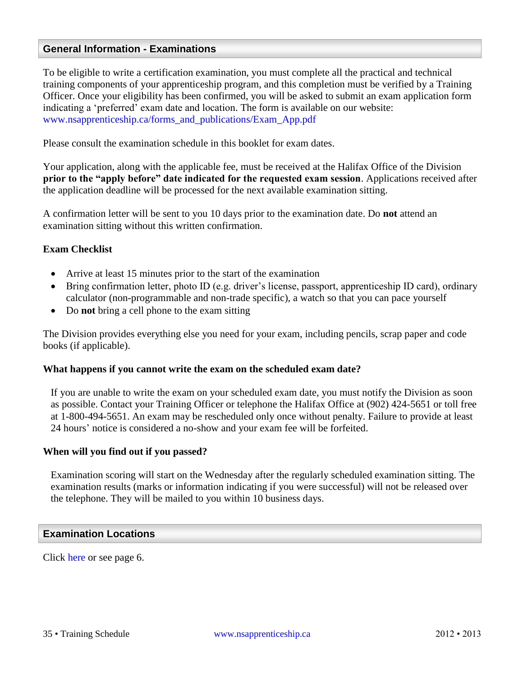### <span id="page-35-0"></span>**General Information - Examinations**

To be eligible to write a certification examination, you must complete all the practical and technical training components of your apprenticeship program, and this completion must be verified by a Training Officer. Once your eligibility has been confirmed, you will be asked to submit an exam application form indicating a 'preferred' exam date and location. The form is available on our website: [www.nsapprenticeship.ca/forms\\_and\\_publications/Exam\\_App.pdf](http://www.nsapprenticeship.ca/forms_and_publications/Exam_App.pdf)

Please consult the examination schedule in this booklet for exam dates.

Your application, along with the applicable fee, must be received at the Halifax Office of the Division **prior to the "apply before" date indicated for the requested exam session**. Applications received after the application deadline will be processed for the next available examination sitting.

A confirmation letter will be sent to you 10 days prior to the examination date. Do **not** attend an examination sitting without this written confirmation.

#### **Exam Checklist**

- Arrive at least 15 minutes prior to the start of the examination
- Bring confirmation letter, photo ID (e.g. driver's license, passport, apprenticeship ID card), ordinary calculator (non-programmable and non-trade specific), a watch so that you can pace yourself
- Do **not** bring a cell phone to the exam sitting

The Division provides everything else you need for your exam, including pencils, scrap paper and code books (if applicable).

#### **What happens if you cannot write the exam on the scheduled exam date?**

If you are unable to write the exam on your scheduled exam date, you must notify the Division as soon as possible. Contact your Training Officer or telephone the Halifax Office at (902) 424-5651 or toll free at 1-800-494-5651. An exam may be rescheduled only once without penalty. Failure to provide at least 24 hours' notice is considered a no-show and your exam fee will be forfeited.

#### **When will you find out if you passed?**

Examination scoring will start on the Wednesday after the regularly scheduled examination sitting. The examination results (marks or information indicating if you were successful) will not be released over the telephone. They will be mailed to you within 10 business days.

#### <span id="page-35-1"></span>**Examination Locations**

Click [here](#page-6-2) or see page 6.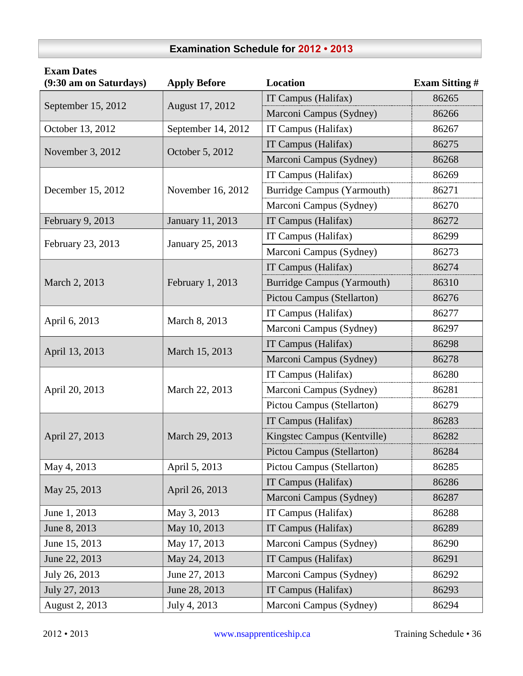### **Examination Schedule for 2012 • 2013**

<span id="page-36-0"></span>

| <b>Exam Dates</b><br>(9:30 am on Saturdays) | <b>Apply Before</b> | <b>Location</b>                                                                                                                                                                                                                                                                                                                                                                                                                                                                                                                                                                                                                                                                                                                                                                                                                                                                                                          | <b>Exam Sitting #</b> |  |  |
|---------------------------------------------|---------------------|--------------------------------------------------------------------------------------------------------------------------------------------------------------------------------------------------------------------------------------------------------------------------------------------------------------------------------------------------------------------------------------------------------------------------------------------------------------------------------------------------------------------------------------------------------------------------------------------------------------------------------------------------------------------------------------------------------------------------------------------------------------------------------------------------------------------------------------------------------------------------------------------------------------------------|-----------------------|--|--|
|                                             |                     | IT Campus (Halifax)                                                                                                                                                                                                                                                                                                                                                                                                                                                                                                                                                                                                                                                                                                                                                                                                                                                                                                      | 86265                 |  |  |
| September 15, 2012                          | August 17, 2012     | Marconi Campus (Sydney)                                                                                                                                                                                                                                                                                                                                                                                                                                                                                                                                                                                                                                                                                                                                                                                                                                                                                                  | 86266                 |  |  |
| October 13, 2012                            | September 14, 2012  | IT Campus (Halifax)                                                                                                                                                                                                                                                                                                                                                                                                                                                                                                                                                                                                                                                                                                                                                                                                                                                                                                      | 86267                 |  |  |
|                                             |                     | IT Campus (Halifax)                                                                                                                                                                                                                                                                                                                                                                                                                                                                                                                                                                                                                                                                                                                                                                                                                                                                                                      | 86275                 |  |  |
| November 3, 2012                            | October 5, 2012     | Marconi Campus (Sydney)<br>86268<br>IT Campus (Halifax)<br>86269<br><b>Burridge Campus (Yarmouth)</b><br>86271<br>Marconi Campus (Sydney)<br>86270<br>IT Campus (Halifax)<br>86272<br>IT Campus (Halifax)<br>86299<br>Marconi Campus (Sydney)<br>86273<br>IT Campus (Halifax)<br>86274<br><b>Burridge Campus (Yarmouth)</b><br>86310<br>Pictou Campus (Stellarton)<br>86276<br>IT Campus (Halifax)<br>86277<br>Marconi Campus (Sydney)<br>86297<br>IT Campus (Halifax)<br>86298<br>Marconi Campus (Sydney)<br>86278<br>IT Campus (Halifax)<br>86280<br>Marconi Campus (Sydney)<br>86281<br>Pictou Campus (Stellarton)<br>86279<br>IT Campus (Halifax)<br>86283<br>Kingstec Campus (Kentville)<br>86282<br>Pictou Campus (Stellarton)<br>86284<br>Pictou Campus (Stellarton)<br>86285<br>IT Campus (Halifax)<br>86286<br>Marconi Campus (Sydney)<br>86287<br>IT Campus (Halifax)<br>86288<br>IT Campus (Halifax)<br>86289 |                       |  |  |
|                                             |                     |                                                                                                                                                                                                                                                                                                                                                                                                                                                                                                                                                                                                                                                                                                                                                                                                                                                                                                                          |                       |  |  |
| December 15, 2012                           | November 16, 2012   |                                                                                                                                                                                                                                                                                                                                                                                                                                                                                                                                                                                                                                                                                                                                                                                                                                                                                                                          |                       |  |  |
|                                             |                     |                                                                                                                                                                                                                                                                                                                                                                                                                                                                                                                                                                                                                                                                                                                                                                                                                                                                                                                          |                       |  |  |
| February 9, 2013                            | January 11, 2013    |                                                                                                                                                                                                                                                                                                                                                                                                                                                                                                                                                                                                                                                                                                                                                                                                                                                                                                                          |                       |  |  |
|                                             |                     |                                                                                                                                                                                                                                                                                                                                                                                                                                                                                                                                                                                                                                                                                                                                                                                                                                                                                                                          |                       |  |  |
| February 23, 2013                           | January 25, 2013    |                                                                                                                                                                                                                                                                                                                                                                                                                                                                                                                                                                                                                                                                                                                                                                                                                                                                                                                          |                       |  |  |
|                                             |                     |                                                                                                                                                                                                                                                                                                                                                                                                                                                                                                                                                                                                                                                                                                                                                                                                                                                                                                                          |                       |  |  |
| March 2, 2013                               | February 1, 2013    |                                                                                                                                                                                                                                                                                                                                                                                                                                                                                                                                                                                                                                                                                                                                                                                                                                                                                                                          |                       |  |  |
|                                             |                     |                                                                                                                                                                                                                                                                                                                                                                                                                                                                                                                                                                                                                                                                                                                                                                                                                                                                                                                          |                       |  |  |
|                                             |                     |                                                                                                                                                                                                                                                                                                                                                                                                                                                                                                                                                                                                                                                                                                                                                                                                                                                                                                                          |                       |  |  |
| April 6, 2013                               | March 8, 2013       |                                                                                                                                                                                                                                                                                                                                                                                                                                                                                                                                                                                                                                                                                                                                                                                                                                                                                                                          |                       |  |  |
|                                             |                     |                                                                                                                                                                                                                                                                                                                                                                                                                                                                                                                                                                                                                                                                                                                                                                                                                                                                                                                          |                       |  |  |
| April 13, 2013                              | March 15, 2013      |                                                                                                                                                                                                                                                                                                                                                                                                                                                                                                                                                                                                                                                                                                                                                                                                                                                                                                                          |                       |  |  |
|                                             |                     |                                                                                                                                                                                                                                                                                                                                                                                                                                                                                                                                                                                                                                                                                                                                                                                                                                                                                                                          |                       |  |  |
| April 20, 2013                              | March 22, 2013      |                                                                                                                                                                                                                                                                                                                                                                                                                                                                                                                                                                                                                                                                                                                                                                                                                                                                                                                          |                       |  |  |
|                                             |                     |                                                                                                                                                                                                                                                                                                                                                                                                                                                                                                                                                                                                                                                                                                                                                                                                                                                                                                                          |                       |  |  |
|                                             |                     |                                                                                                                                                                                                                                                                                                                                                                                                                                                                                                                                                                                                                                                                                                                                                                                                                                                                                                                          |                       |  |  |
| April 27, 2013                              | March 29, 2013      |                                                                                                                                                                                                                                                                                                                                                                                                                                                                                                                                                                                                                                                                                                                                                                                                                                                                                                                          |                       |  |  |
|                                             |                     |                                                                                                                                                                                                                                                                                                                                                                                                                                                                                                                                                                                                                                                                                                                                                                                                                                                                                                                          |                       |  |  |
| May 4, 2013                                 | April 5, 2013       |                                                                                                                                                                                                                                                                                                                                                                                                                                                                                                                                                                                                                                                                                                                                                                                                                                                                                                                          |                       |  |  |
| May 25, 2013                                |                     |                                                                                                                                                                                                                                                                                                                                                                                                                                                                                                                                                                                                                                                                                                                                                                                                                                                                                                                          |                       |  |  |
|                                             | April 26, 2013      |                                                                                                                                                                                                                                                                                                                                                                                                                                                                                                                                                                                                                                                                                                                                                                                                                                                                                                                          |                       |  |  |
| June 1, 2013                                | May 3, 2013         |                                                                                                                                                                                                                                                                                                                                                                                                                                                                                                                                                                                                                                                                                                                                                                                                                                                                                                                          |                       |  |  |
| June 8, 2013                                | May 10, 2013        |                                                                                                                                                                                                                                                                                                                                                                                                                                                                                                                                                                                                                                                                                                                                                                                                                                                                                                                          |                       |  |  |
| June 15, 2013                               | May 17, 2013        | Marconi Campus (Sydney)                                                                                                                                                                                                                                                                                                                                                                                                                                                                                                                                                                                                                                                                                                                                                                                                                                                                                                  | 86290                 |  |  |
| June 22, 2013                               | May 24, 2013        | IT Campus (Halifax)                                                                                                                                                                                                                                                                                                                                                                                                                                                                                                                                                                                                                                                                                                                                                                                                                                                                                                      | 86291                 |  |  |
| July 26, 2013                               | June 27, 2013       | Marconi Campus (Sydney)                                                                                                                                                                                                                                                                                                                                                                                                                                                                                                                                                                                                                                                                                                                                                                                                                                                                                                  | 86292                 |  |  |
| July 27, 2013                               | June 28, 2013       | IT Campus (Halifax)                                                                                                                                                                                                                                                                                                                                                                                                                                                                                                                                                                                                                                                                                                                                                                                                                                                                                                      | 86293                 |  |  |
| August 2, 2013                              | July 4, 2013        | Marconi Campus (Sydney)                                                                                                                                                                                                                                                                                                                                                                                                                                                                                                                                                                                                                                                                                                                                                                                                                                                                                                  | 86294                 |  |  |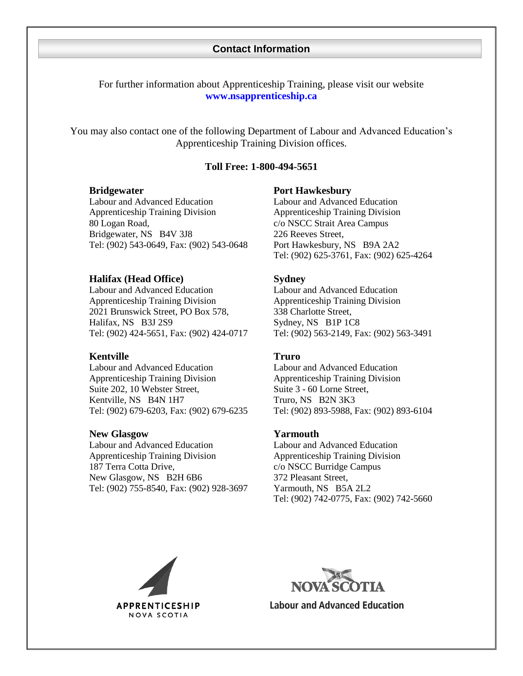#### **Contact Information**

<span id="page-37-0"></span>For further information about Apprenticeship Training, please visit our website **[www.nsapprenticeship.ca](http://www.nsapprenticeship.ca/)**

<span id="page-37-1"></span>You may also contact one of the following Department of Labour and Advanced Education's Apprenticeship Training Division offices.

#### **Toll Free: 1-800-494-5651**

Labour and Advanced Education Apprenticeship Training Division 80 Logan Road, Bridgewater, NS B4V 3J8 Tel: (902) 543-0649, Fax: (902) 543-0648

#### **Halifax (Head Office) Sydney**

Labour and Advanced Education Apprenticeship Training Division 2021 Brunswick Street, PO Box 578, Halifax, NS B3J 2S9 Tel: (902) 424-5651, Fax: (902) 424-0717

#### **Kentville Truro**

Labour and Advanced Education Apprenticeship Training Division Suite 202, 10 Webster Street, Kentville, NS B4N 1H7 Tel: (902) 679-6203, Fax: (902) 679-6235

#### **New Glasgow Yarmouth**

Labour and Advanced Education Apprenticeship Training Division 187 Terra Cotta Drive, New Glasgow, NS B2H 6B6 Tel: (902) 755-8540, Fax: (902) 928-3697

#### **Bridgewater Port Hawkesbury**

Labour and Advanced Education Apprenticeship Training Division c/o NSCC Strait Area Campus 226 Reeves Street, Port Hawkesbury, NS B9A 2A2 Tel: (902) 625-3761, Fax: (902) 625-4264

Labour and Advanced Education Apprenticeship Training Division 338 Charlotte Street, Sydney, NS B1P 1C8 Tel: (902) 563-2149, Fax: (902) 563-3491

Labour and Advanced Education Apprenticeship Training Division Suite 3 - 60 Lorne Street, Truro, NS B2N 3K3 Tel: (902) 893-5988, Fax: (902) 893-6104

Labour and Advanced Education Apprenticeship Training Division c/o NSCC Burridge Campus 372 Pleasant Street, Yarmouth, NS B5A 2L2 Tel: (902) 742-0775, Fax: (902) 742-5660





**Labour and Advanced Education**